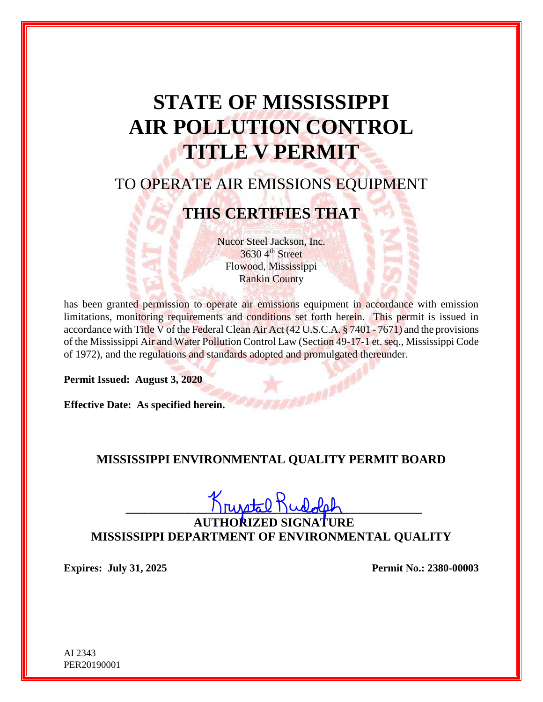# **STATE OF MISSISSIPPI AIR POLLUTION CONTROL TITLE V PERMIT**

## TO OPERATE AIR EMISSIONS EQUIPMENT

## **THIS CERTIFIES THAT**

Nucor Steel Jackson, Inc.  $36304<sup>th</sup>$  Street Flowood, Mississippi Rankin County

has been granted permission to operate air emissions equipment in accordance with emission limitations, monitoring requirements and conditions set forth herein. This permit is issued in accordance with Title V of the Federal Clean Air Act (42 U.S.C.A. § 7401 - 7671) and the provisions of the Mississippi Air and Water Pollution Control Law (Section 49-17-1 et. seq., Mississippi Code of 1972), and the regulations and standards adopted and promulgated thereunder.

**Permit Issued: August 3, 2020**

**Effective Date: As specified herein.** 

#### **MISSISSIPPI ENVIRONMENTAL QUALITY PERMIT BOARD**

 $\frac{1}{\frac{1}{2}}$  Turstal  $\frac{1}{2}$  Turble  $\frac{1}{2}$ 

**AUTHORIZED SIGNATURE MISSISSIPPI DEPARTMENT OF ENVIRONMENTAL QUALITY**

**Expires: July 31, 2025 Permit No.: 2380-00003**

AI 2343 PER20190001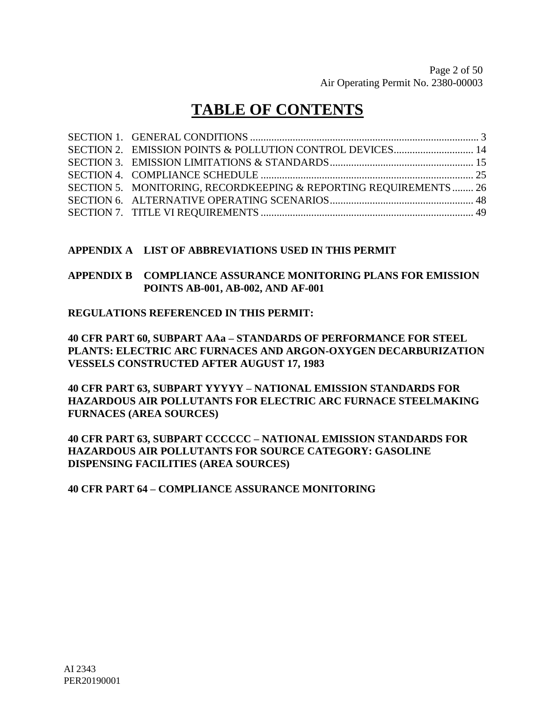## **TABLE OF CONTENTS**

| SECTION 5. MONITORING, RECORDKEEPING & REPORTING REQUIREMENTS 26 |  |
|------------------------------------------------------------------|--|
|                                                                  |  |
|                                                                  |  |

#### **APPENDIX A LIST OF ABBREVIATIONS USED IN THIS PERMIT**

#### **APPENDIX B COMPLIANCE ASSURANCE MONITORING PLANS FOR EMISSION POINTS AB-001, AB-002, AND AF-001**

#### **REGULATIONS REFERENCED IN THIS PERMIT:**

**40 CFR PART 60, SUBPART AAa – STANDARDS OF PERFORMANCE FOR STEEL PLANTS: ELECTRIC ARC FURNACES AND ARGON-OXYGEN DECARBURIZATION VESSELS CONSTRUCTED AFTER AUGUST 17, 1983**

**40 CFR PART 63, SUBPART YYYYY – NATIONAL EMISSION STANDARDS FOR HAZARDOUS AIR POLLUTANTS FOR ELECTRIC ARC FURNACE STEELMAKING FURNACES (AREA SOURCES)**

**40 CFR PART 63, SUBPART CCCCCC – NATIONAL EMISSION STANDARDS FOR HAZARDOUS AIR POLLUTANTS FOR SOURCE CATEGORY: GASOLINE DISPENSING FACILITIES (AREA SOURCES)**

**40 CFR PART 64 – COMPLIANCE ASSURANCE MONITORING**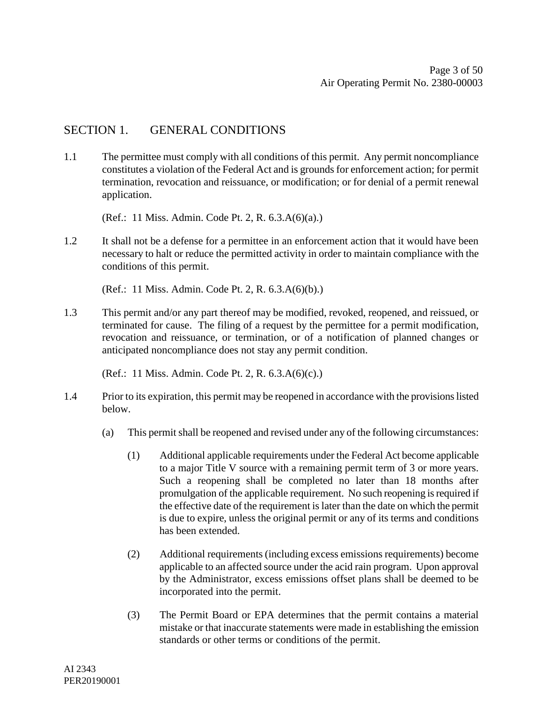### SECTION 1. GENERAL CONDITIONS

1.1 The permittee must comply with all conditions of this permit. Any permit noncompliance constitutes a violation of the Federal Act and is grounds for enforcement action; for permit termination, revocation and reissuance, or modification; or for denial of a permit renewal application.

(Ref.: 11 Miss. Admin. Code Pt. 2, R. 6.3.A(6)(a).)

1.2 It shall not be a defense for a permittee in an enforcement action that it would have been necessary to halt or reduce the permitted activity in order to maintain compliance with the conditions of this permit.

(Ref.: 11 Miss. Admin. Code Pt. 2, R. 6.3.A(6)(b).)

1.3 This permit and/or any part thereof may be modified, revoked, reopened, and reissued, or terminated for cause. The filing of a request by the permittee for a permit modification, revocation and reissuance, or termination, or of a notification of planned changes or anticipated noncompliance does not stay any permit condition.

(Ref.: 11 Miss. Admin. Code Pt. 2, R. 6.3.A(6)(c).)

- 1.4 Prior to its expiration, this permit may be reopened in accordance with the provisions listed below.
	- (a) This permit shall be reopened and revised under any of the following circumstances:
		- (1) Additional applicable requirements under the Federal Act become applicable to a major Title V source with a remaining permit term of 3 or more years. Such a reopening shall be completed no later than 18 months after promulgation of the applicable requirement. No such reopening is required if the effective date of the requirement is later than the date on which the permit is due to expire, unless the original permit or any of its terms and conditions has been extended.
		- (2) Additional requirements (including excess emissions requirements) become applicable to an affected source under the acid rain program. Upon approval by the Administrator, excess emissions offset plans shall be deemed to be incorporated into the permit.
		- (3) The Permit Board or EPA determines that the permit contains a material mistake or that inaccurate statements were made in establishing the emission standards or other terms or conditions of the permit.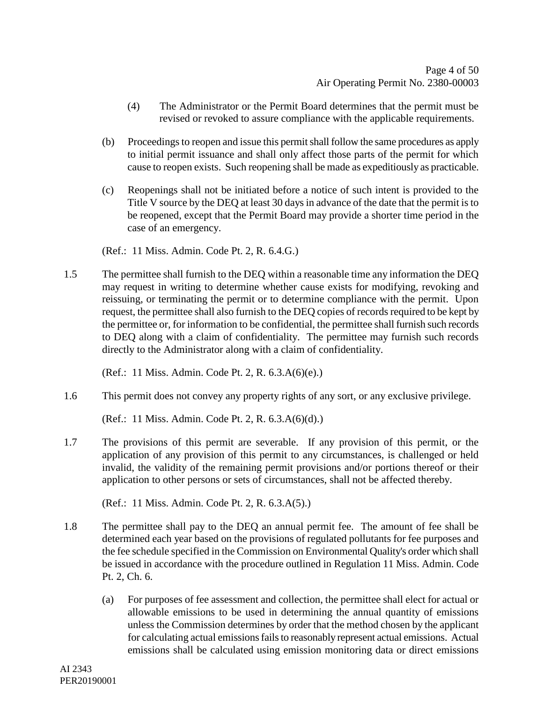- (4) The Administrator or the Permit Board determines that the permit must be revised or revoked to assure compliance with the applicable requirements.
- (b) Proceedings to reopen and issue this permit shall follow the same procedures as apply to initial permit issuance and shall only affect those parts of the permit for which cause to reopen exists. Such reopening shall be made as expeditiously as practicable.
- (c) Reopenings shall not be initiated before a notice of such intent is provided to the Title V source by the DEQ at least 30 days in advance of the date that the permit is to be reopened, except that the Permit Board may provide a shorter time period in the case of an emergency.

(Ref.: 11 Miss. Admin. Code Pt. 2, R. 6.4.G.)

1.5 The permittee shall furnish to the DEQ within a reasonable time any information the DEQ may request in writing to determine whether cause exists for modifying, revoking and reissuing, or terminating the permit or to determine compliance with the permit. Upon request, the permittee shall also furnish to the DEQ copies of records required to be kept by the permittee or, for information to be confidential, the permittee shall furnish such records to DEQ along with a claim of confidentiality. The permittee may furnish such records directly to the Administrator along with a claim of confidentiality.

(Ref.: 11 Miss. Admin. Code Pt. 2, R. 6.3.A(6)(e).)

1.6 This permit does not convey any property rights of any sort, or any exclusive privilege.

(Ref.: 11 Miss. Admin. Code Pt. 2, R. 6.3.A(6)(d).)

1.7 The provisions of this permit are severable. If any provision of this permit, or the application of any provision of this permit to any circumstances, is challenged or held invalid, the validity of the remaining permit provisions and/or portions thereof or their application to other persons or sets of circumstances, shall not be affected thereby.

(Ref.: 11 Miss. Admin. Code Pt. 2, R. 6.3.A(5).)

- 1.8 The permittee shall pay to the DEQ an annual permit fee. The amount of fee shall be determined each year based on the provisions of regulated pollutants for fee purposes and the fee schedule specified in the Commission on Environmental Quality's order which shall be issued in accordance with the procedure outlined in Regulation 11 Miss. Admin. Code Pt. 2, Ch. 6.
	- (a) For purposes of fee assessment and collection, the permittee shall elect for actual or allowable emissions to be used in determining the annual quantity of emissions unless the Commission determines by order that the method chosen by the applicant for calculating actual emissions fails to reasonably represent actual emissions. Actual emissions shall be calculated using emission monitoring data or direct emissions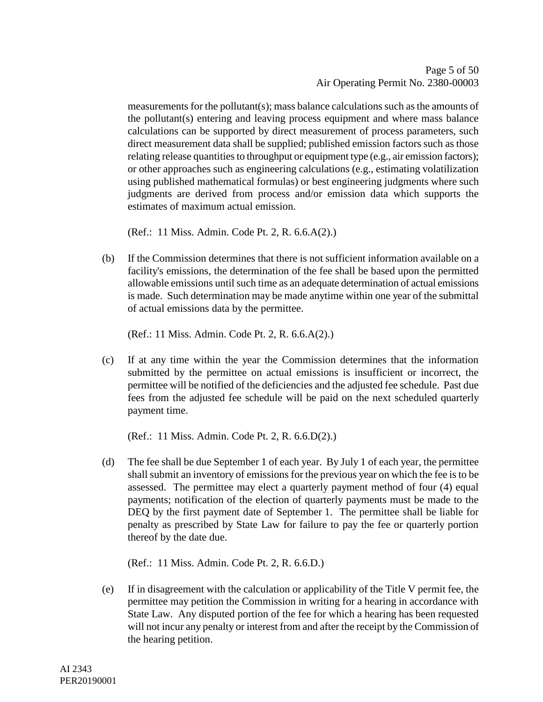measurements for the pollutant(s); mass balance calculations such as the amounts of the pollutant(s) entering and leaving process equipment and where mass balance calculations can be supported by direct measurement of process parameters, such direct measurement data shall be supplied; published emission factors such as those relating release quantities to throughput or equipment type (e.g., air emission factors); or other approaches such as engineering calculations (e.g., estimating volatilization using published mathematical formulas) or best engineering judgments where such judgments are derived from process and/or emission data which supports the estimates of maximum actual emission.

(Ref.: 11 Miss. Admin. Code Pt. 2, R. 6.6.A(2).)

(b) If the Commission determines that there is not sufficient information available on a facility's emissions, the determination of the fee shall be based upon the permitted allowable emissions until such time as an adequate determination of actual emissions is made. Such determination may be made anytime within one year of the submittal of actual emissions data by the permittee.

(Ref.: 11 Miss. Admin. Code Pt. 2, R. 6.6.A(2).)

(c) If at any time within the year the Commission determines that the information submitted by the permittee on actual emissions is insufficient or incorrect, the permittee will be notified of the deficiencies and the adjusted fee schedule. Past due fees from the adjusted fee schedule will be paid on the next scheduled quarterly payment time.

(Ref.: 11 Miss. Admin. Code Pt. 2, R. 6.6.D(2).)

(d) The fee shall be due September 1 of each year. By July 1 of each year, the permittee shall submit an inventory of emissions for the previous year on which the fee is to be assessed. The permittee may elect a quarterly payment method of four (4) equal payments; notification of the election of quarterly payments must be made to the DEQ by the first payment date of September 1. The permittee shall be liable for penalty as prescribed by State Law for failure to pay the fee or quarterly portion thereof by the date due.

(Ref.: 11 Miss. Admin. Code Pt. 2, R. 6.6.D.)

(e) If in disagreement with the calculation or applicability of the Title V permit fee, the permittee may petition the Commission in writing for a hearing in accordance with State Law. Any disputed portion of the fee for which a hearing has been requested will not incur any penalty or interest from and after the receipt by the Commission of the hearing petition.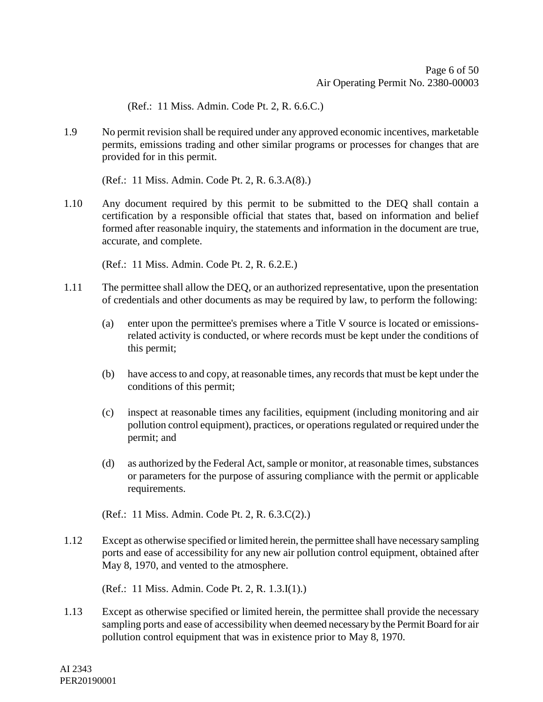(Ref.: 11 Miss. Admin. Code Pt. 2, R. 6.6.C.)

1.9 No permit revision shall be required under any approved economic incentives, marketable permits, emissions trading and other similar programs or processes for changes that are provided for in this permit.

(Ref.: 11 Miss. Admin. Code Pt. 2, R. 6.3.A(8).)

1.10 Any document required by this permit to be submitted to the DEQ shall contain a certification by a responsible official that states that, based on information and belief formed after reasonable inquiry, the statements and information in the document are true, accurate, and complete.

(Ref.: 11 Miss. Admin. Code Pt. 2, R. 6.2.E.)

- 1.11 The permittee shall allow the DEQ, or an authorized representative, upon the presentation of credentials and other documents as may be required by law, to perform the following:
	- (a) enter upon the permittee's premises where a Title V source is located or emissionsrelated activity is conducted, or where records must be kept under the conditions of this permit;
	- (b) have access to and copy, at reasonable times, any records that must be kept under the conditions of this permit;
	- (c) inspect at reasonable times any facilities, equipment (including monitoring and air pollution control equipment), practices, or operations regulated or required under the permit; and
	- (d) as authorized by the Federal Act, sample or monitor, at reasonable times, substances or parameters for the purpose of assuring compliance with the permit or applicable requirements.

(Ref.: 11 Miss. Admin. Code Pt. 2, R. 6.3.C(2).)

1.12 Except as otherwise specified or limited herein, the permittee shall have necessary sampling ports and ease of accessibility for any new air pollution control equipment, obtained after May 8, 1970, and vented to the atmosphere.

(Ref.: 11 Miss. Admin. Code Pt. 2, R. 1.3.I(1).)

1.13 Except as otherwise specified or limited herein, the permittee shall provide the necessary sampling ports and ease of accessibility when deemed necessary by the Permit Board for air pollution control equipment that was in existence prior to May 8, 1970.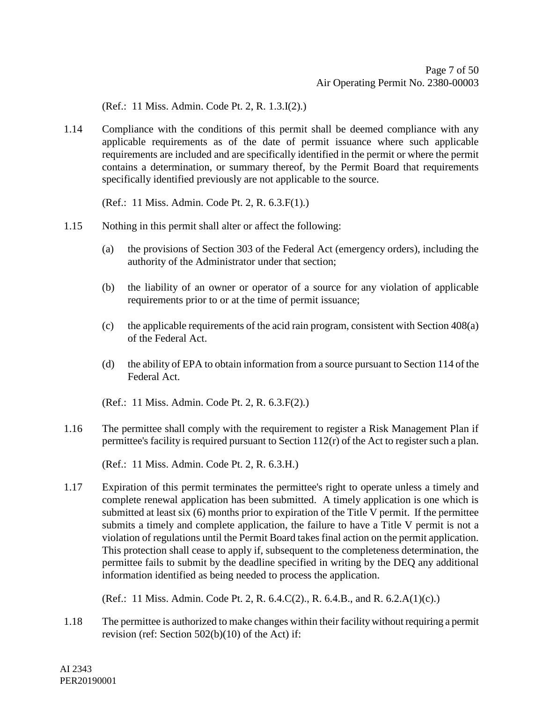(Ref.: 11 Miss. Admin. Code Pt. 2, R. 1.3.I(2).)

1.14 Compliance with the conditions of this permit shall be deemed compliance with any applicable requirements as of the date of permit issuance where such applicable requirements are included and are specifically identified in the permit or where the permit contains a determination, or summary thereof, by the Permit Board that requirements specifically identified previously are not applicable to the source.

(Ref.: 11 Miss. Admin. Code Pt. 2, R. 6.3.F(1).)

- 1.15 Nothing in this permit shall alter or affect the following:
	- (a) the provisions of Section 303 of the Federal Act (emergency orders), including the authority of the Administrator under that section;
	- (b) the liability of an owner or operator of a source for any violation of applicable requirements prior to or at the time of permit issuance;
	- (c) the applicable requirements of the acid rain program, consistent with Section 408(a) of the Federal Act.
	- (d) the ability of EPA to obtain information from a source pursuant to Section 114 of the Federal Act.
	- (Ref.: 11 Miss. Admin. Code Pt. 2, R. 6.3.F(2).)
- 1.16 The permittee shall comply with the requirement to register a Risk Management Plan if permittee's facility is required pursuant to Section 112(r) of the Act to register such a plan.

(Ref.: 11 Miss. Admin. Code Pt. 2, R. 6.3.H.)

1.17 Expiration of this permit terminates the permittee's right to operate unless a timely and complete renewal application has been submitted. A timely application is one which is submitted at least six (6) months prior to expiration of the Title V permit. If the permittee submits a timely and complete application, the failure to have a Title V permit is not a violation of regulations until the Permit Board takes final action on the permit application. This protection shall cease to apply if, subsequent to the completeness determination, the permittee fails to submit by the deadline specified in writing by the DEQ any additional information identified as being needed to process the application.

(Ref.: 11 Miss. Admin. Code Pt. 2, R. 6.4.C(2)., R. 6.4.B., and R. 6.2.A(1)(c).)

1.18 The permittee is authorized to make changes within their facility without requiring a permit revision (ref: Section 502(b)(10) of the Act) if: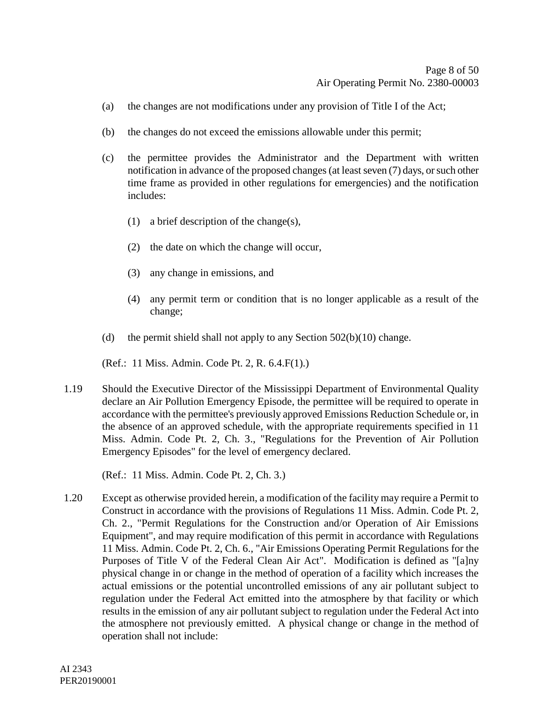- (a) the changes are not modifications under any provision of Title I of the Act;
- (b) the changes do not exceed the emissions allowable under this permit;
- (c) the permittee provides the Administrator and the Department with written notification in advance of the proposed changes (at least seven (7) days, or such other time frame as provided in other regulations for emergencies) and the notification includes:
	- (1) a brief description of the change(s),
	- (2) the date on which the change will occur,
	- (3) any change in emissions, and
	- (4) any permit term or condition that is no longer applicable as a result of the change;
- (d) the permit shield shall not apply to any Section  $502(b)(10)$  change.
- (Ref.: 11 Miss. Admin. Code Pt. 2, R. 6.4.F(1).)
- 1.19 Should the Executive Director of the Mississippi Department of Environmental Quality declare an Air Pollution Emergency Episode, the permittee will be required to operate in accordance with the permittee's previously approved Emissions Reduction Schedule or, in the absence of an approved schedule, with the appropriate requirements specified in 11 Miss. Admin. Code Pt. 2, Ch. 3., "Regulations for the Prevention of Air Pollution Emergency Episodes" for the level of emergency declared.

(Ref.: 11 Miss. Admin. Code Pt. 2, Ch. 3.)

1.20 Except as otherwise provided herein, a modification of the facility may require a Permit to Construct in accordance with the provisions of Regulations 11 Miss. Admin. Code Pt. 2, Ch. 2., "Permit Regulations for the Construction and/or Operation of Air Emissions Equipment", and may require modification of this permit in accordance with Regulations 11 Miss. Admin. Code Pt. 2, Ch. 6., "Air Emissions Operating Permit Regulations for the Purposes of Title V of the Federal Clean Air Act". Modification is defined as "[a]ny physical change in or change in the method of operation of a facility which increases the actual emissions or the potential uncontrolled emissions of any air pollutant subject to regulation under the Federal Act emitted into the atmosphere by that facility or which results in the emission of any air pollutant subject to regulation under the Federal Act into the atmosphere not previously emitted. A physical change or change in the method of operation shall not include: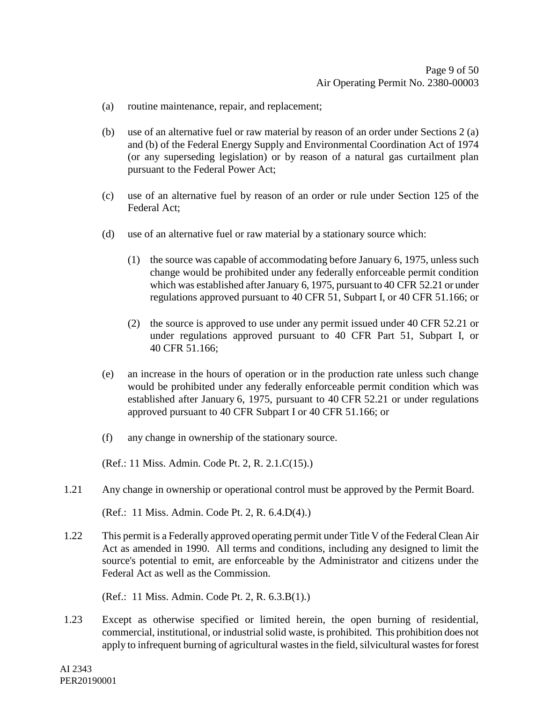- (a) routine maintenance, repair, and replacement;
- (b) use of an alternative fuel or raw material by reason of an order under Sections 2 (a) and (b) of the Federal Energy Supply and Environmental Coordination Act of 1974 (or any superseding legislation) or by reason of a natural gas curtailment plan pursuant to the Federal Power Act;
- (c) use of an alternative fuel by reason of an order or rule under Section 125 of the Federal Act;
- (d) use of an alternative fuel or raw material by a stationary source which:
	- (1) the source was capable of accommodating before January 6, 1975, unless such change would be prohibited under any federally enforceable permit condition which was established after January 6, 1975, pursuant to 40 CFR 52.21 or under regulations approved pursuant to 40 CFR 51, Subpart I, or 40 CFR 51.166; or
	- (2) the source is approved to use under any permit issued under 40 CFR 52.21 or under regulations approved pursuant to 40 CFR Part 51, Subpart I, or 40 CFR 51.166;
- (e) an increase in the hours of operation or in the production rate unless such change would be prohibited under any federally enforceable permit condition which was established after January 6, 1975, pursuant to 40 CFR 52.21 or under regulations approved pursuant to 40 CFR Subpart I or 40 CFR 51.166; or
- (f) any change in ownership of the stationary source.

(Ref.: 11 Miss. Admin. Code Pt. 2, R. 2.1.C(15).)

1.21 Any change in ownership or operational control must be approved by the Permit Board.

(Ref.: 11 Miss. Admin. Code Pt. 2, R. 6.4.D(4).)

1.22 This permit is a Federally approved operating permit under Title V of the Federal Clean Air Act as amended in 1990. All terms and conditions, including any designed to limit the source's potential to emit, are enforceable by the Administrator and citizens under the Federal Act as well as the Commission.

(Ref.: 11 Miss. Admin. Code Pt. 2, R. 6.3.B(1).)

1.23 Except as otherwise specified or limited herein, the open burning of residential, commercial, institutional, or industrial solid waste, is prohibited. This prohibition does not apply to infrequent burning of agricultural wastes in the field, silvicultural wastes for forest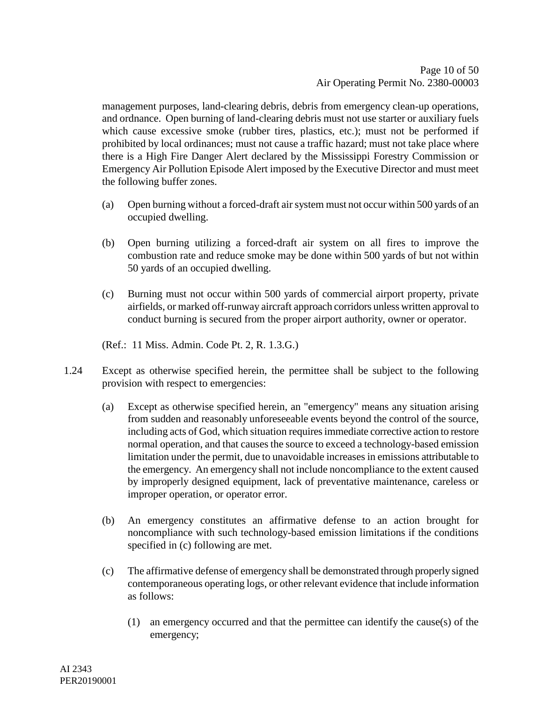management purposes, land-clearing debris, debris from emergency clean-up operations, and ordnance. Open burning of land-clearing debris must not use starter or auxiliary fuels which cause excessive smoke (rubber tires, plastics, etc.); must not be performed if prohibited by local ordinances; must not cause a traffic hazard; must not take place where there is a High Fire Danger Alert declared by the Mississippi Forestry Commission or Emergency Air Pollution Episode Alert imposed by the Executive Director and must meet the following buffer zones.

- (a) Open burning without a forced-draft air system must not occur within 500 yards of an occupied dwelling.
- (b) Open burning utilizing a forced-draft air system on all fires to improve the combustion rate and reduce smoke may be done within 500 yards of but not within 50 yards of an occupied dwelling.
- (c) Burning must not occur within 500 yards of commercial airport property, private airfields, or marked off-runway aircraft approach corridors unless written approval to conduct burning is secured from the proper airport authority, owner or operator.

(Ref.: 11 Miss. Admin. Code Pt. 2, R. 1.3.G.)

- 1.24 Except as otherwise specified herein, the permittee shall be subject to the following provision with respect to emergencies:
	- (a) Except as otherwise specified herein, an "emergency" means any situation arising from sudden and reasonably unforeseeable events beyond the control of the source, including acts of God, which situation requires immediate corrective action to restore normal operation, and that causes the source to exceed a technology-based emission limitation under the permit, due to unavoidable increases in emissions attributable to the emergency. An emergency shall not include noncompliance to the extent caused by improperly designed equipment, lack of preventative maintenance, careless or improper operation, or operator error.
	- (b) An emergency constitutes an affirmative defense to an action brought for noncompliance with such technology-based emission limitations if the conditions specified in (c) following are met.
	- (c) The affirmative defense of emergency shall be demonstrated through properly signed contemporaneous operating logs, or other relevant evidence that include information as follows:
		- (1) an emergency occurred and that the permittee can identify the cause(s) of the emergency;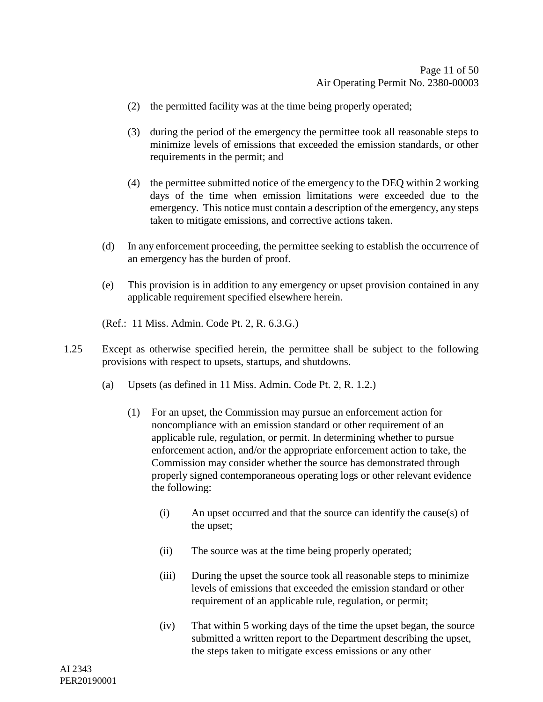- (2) the permitted facility was at the time being properly operated;
- (3) during the period of the emergency the permittee took all reasonable steps to minimize levels of emissions that exceeded the emission standards, or other requirements in the permit; and
- (4) the permittee submitted notice of the emergency to the DEQ within 2 working days of the time when emission limitations were exceeded due to the emergency. This notice must contain a description of the emergency, any steps taken to mitigate emissions, and corrective actions taken.
- (d) In any enforcement proceeding, the permittee seeking to establish the occurrence of an emergency has the burden of proof.
- (e) This provision is in addition to any emergency or upset provision contained in any applicable requirement specified elsewhere herein.

(Ref.: 11 Miss. Admin. Code Pt. 2, R. 6.3.G.)

- 1.25 Except as otherwise specified herein, the permittee shall be subject to the following provisions with respect to upsets, startups, and shutdowns.
	- (a) Upsets (as defined in 11 Miss. Admin. Code Pt. 2, R. 1.2.)
		- (1) For an upset, the Commission may pursue an enforcement action for noncompliance with an emission standard or other requirement of an applicable rule, regulation, or permit. In determining whether to pursue enforcement action, and/or the appropriate enforcement action to take, the Commission may consider whether the source has demonstrated through properly signed contemporaneous operating logs or other relevant evidence the following:
			- (i) An upset occurred and that the source can identify the cause(s) of the upset;
			- (ii) The source was at the time being properly operated;
			- (iii) During the upset the source took all reasonable steps to minimize levels of emissions that exceeded the emission standard or other requirement of an applicable rule, regulation, or permit;
			- (iv) That within 5 working days of the time the upset began, the source submitted a written report to the Department describing the upset, the steps taken to mitigate excess emissions or any other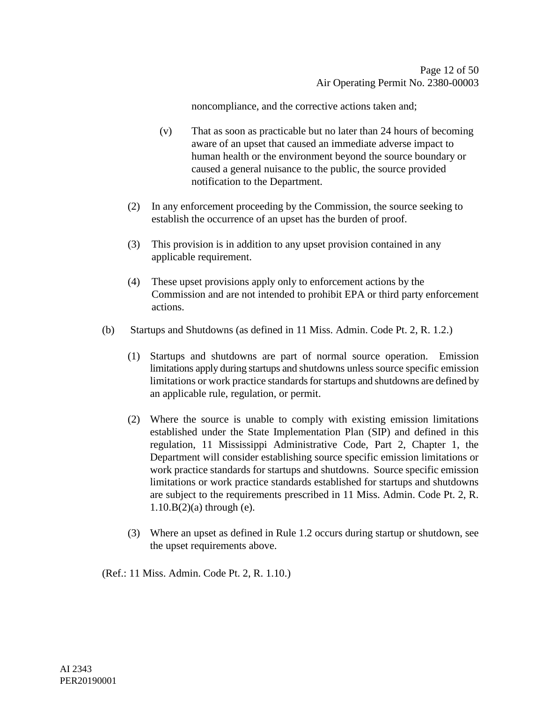noncompliance, and the corrective actions taken and;

- (v) That as soon as practicable but no later than 24 hours of becoming aware of an upset that caused an immediate adverse impact to human health or the environment beyond the source boundary or caused a general nuisance to the public, the source provided notification to the Department.
- (2) In any enforcement proceeding by the Commission, the source seeking to establish the occurrence of an upset has the burden of proof.
- (3) This provision is in addition to any upset provision contained in any applicable requirement.
- (4) These upset provisions apply only to enforcement actions by the Commission and are not intended to prohibit EPA or third party enforcement actions.
- (b) Startups and Shutdowns (as defined in 11 Miss. Admin. Code Pt. 2, R. 1.2.)
	- (1) Startups and shutdowns are part of normal source operation. Emission limitations apply during startups and shutdowns unless source specific emission limitations or work practice standards for startups and shutdowns are defined by an applicable rule, regulation, or permit.
	- (2) Where the source is unable to comply with existing emission limitations established under the State Implementation Plan (SIP) and defined in this regulation, 11 Mississippi Administrative Code, Part 2, Chapter 1, the Department will consider establishing source specific emission limitations or work practice standards for startups and shutdowns. Source specific emission limitations or work practice standards established for startups and shutdowns are subject to the requirements prescribed in 11 Miss. Admin. Code Pt. 2, R.  $1.10.B(2)$ (a) through (e).
	- (3) Where an upset as defined in Rule 1.2 occurs during startup or shutdown, see the upset requirements above.

(Ref.: 11 Miss. Admin. Code Pt. 2, R. 1.10.)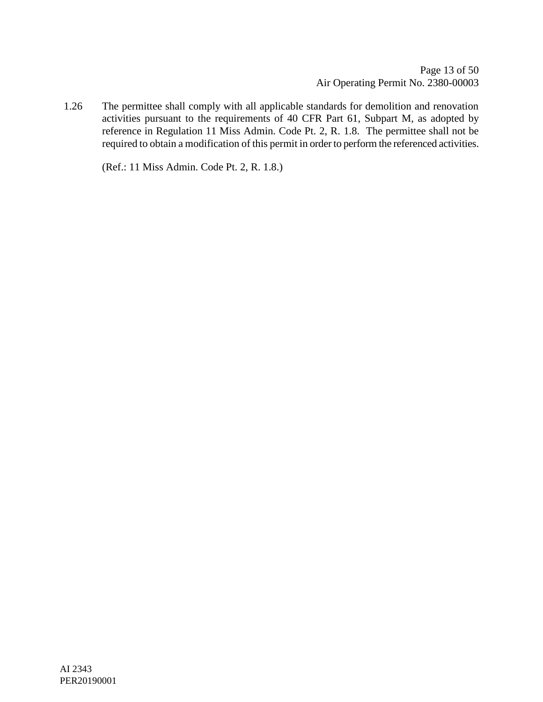1.26 The permittee shall comply with all applicable standards for demolition and renovation activities pursuant to the requirements of 40 CFR Part 61, Subpart M, as adopted by reference in Regulation 11 Miss Admin. Code Pt. 2, R. 1.8. The permittee shall not be required to obtain a modification of this permit in order to perform the referenced activities.

(Ref.: 11 Miss Admin. Code Pt. 2, R. 1.8.)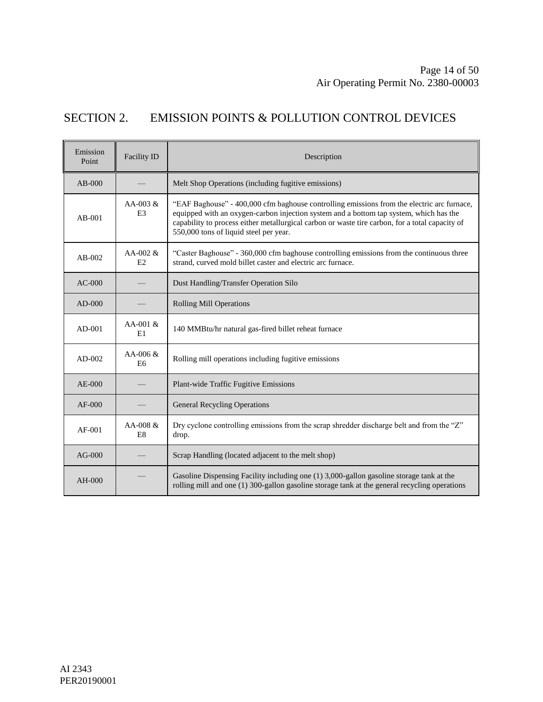## SECTION 2. EMISSION POINTS & POLLUTION CONTROL DEVICES

| Emission<br>Point | <b>Facility ID</b>            | Description                                                                                                                                                                                                                                                                                                                       |
|-------------------|-------------------------------|-----------------------------------------------------------------------------------------------------------------------------------------------------------------------------------------------------------------------------------------------------------------------------------------------------------------------------------|
| $AB-000$          |                               | Melt Shop Operations (including fugitive emissions)                                                                                                                                                                                                                                                                               |
| $AB-001$          | $AA-003 \&$<br>E <sub>3</sub> | "EAF Baghouse" - 400,000 cfm baghouse controlling emissions from the electric arc furnace,<br>equipped with an oxygen-carbon injection system and a bottom tap system, which has the<br>capability to process either metallurgical carbon or waste tire carbon, for a total capacity of<br>550,000 tons of liquid steel per year. |
| $AB-002$          | AA-002 $&$<br>E2              | "Caster Baghouse" - 360,000 cfm baghouse controlling emissions from the continuous three<br>strand, curved mold billet caster and electric arc furnace.                                                                                                                                                                           |
| $AC-000$          |                               | Dust Handling/Transfer Operation Silo                                                                                                                                                                                                                                                                                             |
| $AD-000$          |                               | <b>Rolling Mill Operations</b>                                                                                                                                                                                                                                                                                                    |
| $AD-001$          | $AA-001 &$<br>E1              | 140 MMBtu/hr natural gas-fired billet reheat furnace                                                                                                                                                                                                                                                                              |
| $AD-002$          | AA-006 $&$<br>E <sub>6</sub>  | Rolling mill operations including fugitive emissions                                                                                                                                                                                                                                                                              |
| $AE-000$          |                               | Plant-wide Traffic Fugitive Emissions                                                                                                                                                                                                                                                                                             |
| $AF-000$          |                               | <b>General Recycling Operations</b>                                                                                                                                                                                                                                                                                               |
| $AF-001$          | $AA-008 \&$<br>E <sub>8</sub> | Dry cyclone controlling emissions from the scrap shredder discharge belt and from the "Z"<br>drop.                                                                                                                                                                                                                                |
| $AG-000$          |                               | Scrap Handling (located adjacent to the melt shop)                                                                                                                                                                                                                                                                                |
| $AH-000$          |                               | Gasoline Dispensing Facility including one (1) 3,000-gallon gasoline storage tank at the<br>rolling mill and one (1) 300-gallon gasoline storage tank at the general recycling operations                                                                                                                                         |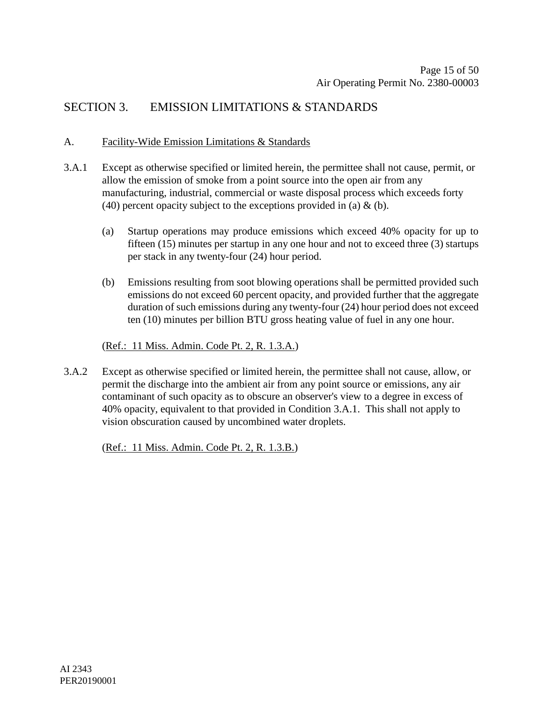### SECTION 3. EMISSION LIMITATIONS & STANDARDS

#### A. Facility-Wide Emission Limitations & Standards

- 3.A.1 Except as otherwise specified or limited herein, the permittee shall not cause, permit, or allow the emission of smoke from a point source into the open air from any manufacturing, industrial, commercial or waste disposal process which exceeds forty (40) percent opacity subject to the exceptions provided in (a)  $\&$  (b).
	- (a) Startup operations may produce emissions which exceed 40% opacity for up to fifteen (15) minutes per startup in any one hour and not to exceed three (3) startups per stack in any twenty-four (24) hour period.
	- (b) Emissions resulting from soot blowing operations shall be permitted provided such emissions do not exceed 60 percent opacity, and provided further that the aggregate duration of such emissions during any twenty-four (24) hour period does not exceed ten (10) minutes per billion BTU gross heating value of fuel in any one hour.

#### (Ref.: 11 Miss. Admin. Code Pt. 2, R. 1.3.A.)

3.A.2 Except as otherwise specified or limited herein, the permittee shall not cause, allow, or permit the discharge into the ambient air from any point source or emissions, any air contaminant of such opacity as to obscure an observer's view to a degree in excess of 40% opacity, equivalent to that provided in Condition 3.A.1. This shall not apply to vision obscuration caused by uncombined water droplets.

(Ref.: 11 Miss. Admin. Code Pt. 2, R. 1.3.B.)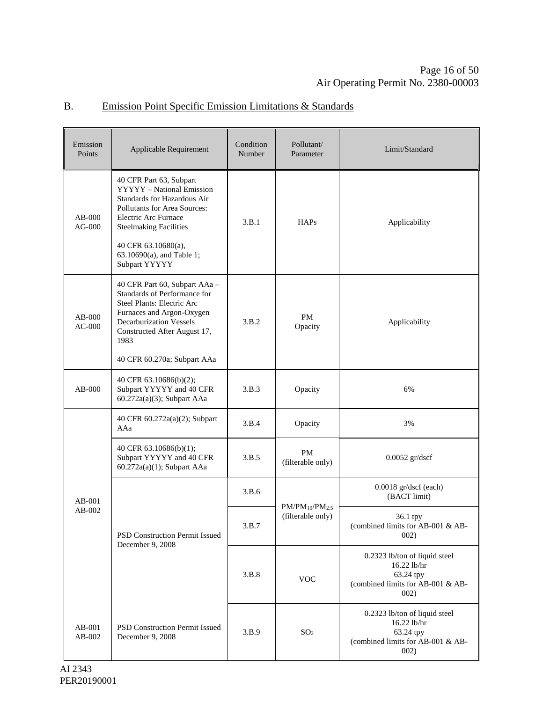#### Emission Equivalent Condition<br>
Points Applicable Requirement Condition Number Pollutant/ Parameter Limit/Standard AB-000 AG-000 40 CFR Part 63, Subpart YYYYY – National Emission Standards for Hazardous Air Pollutants for Area Sources: Electric Arc Furnace Steelmaking Facilities 40 CFR 63.10680(a), 63.10690(a), and Table 1; Subpart YYYYY 3.B.1 HAPs Applicability AB-000 AC-000 40 CFR Part 60, Subpart AAa – Standards of Performance for Steel Plants: Electric Arc Furnaces and Argon-Oxygen Decarburization Vessels Constructed After August 17, 1983 40 CFR 60.270a; Subpart AAa 3.B.2 PM<br>Opacity Applicability AB-000 40 CFR 63.10686(b)(2); Subpart YYYYY and 40 CFR 60.272a(a)(3); Subpart AAa 3.B.3 Opacity 6% AB-001 AB-002 40 CFR 60.272a(a)(2); Subpart AAa 3.B.4 Opacity 3% 40 CFR 63.10686(b)(1); Subpart YYYYY and 40 CFR 60.272a(a)(1); Subpart AAa  $3.B.5$  PM  $P_{\text{M}}$ <br>(filterable only) 0.0052 gr/dscf PSD Construction Permit Issued December 9, 2008 3.B.6  $PM/PM_{10}/PM_{2.5}$ (filterable only) 0.0018 gr/dscf (each) (BACT limit) 3.B.7 36.1 tpy (combined limits for AB-001 & AB-002) 3.B.8 VOC 0.2323 lb/ton of liquid steel 16.22 lb/hr 63.24 tpy (combined limits for AB-001 & AB-002) AB-001 AB-002 PSD Construction Permit Issued PSD Construction Fermit issued 3.B.9 SO<sub>2</sub><br>December 9, 2008 0.2323 lb/ton of liquid steel 16.22 lb/hr 63.24 tpy (combined limits for AB-001 & AB-002)

#### B. Emission Point Specific Emission Limitations & Standards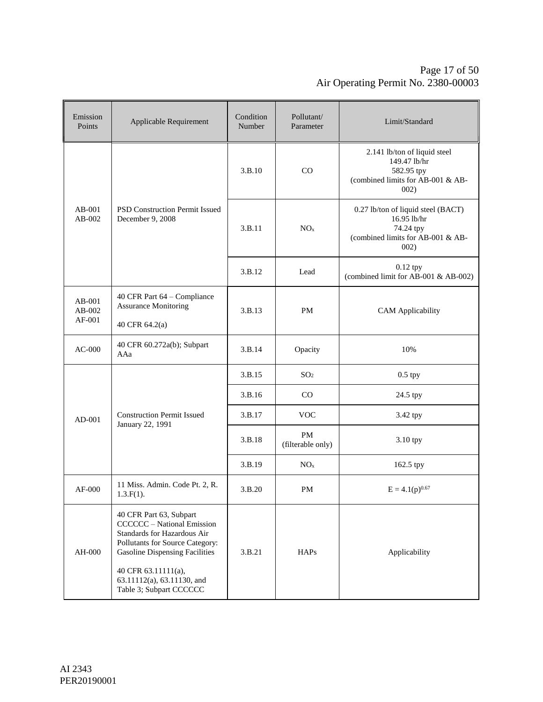#### Page 17 of [50](#page-49-0) Air Operating Permit No. 2380-00003

| Emission<br>Points         | Applicable Requirement                                                                                                                                                                                                                                  | Condition<br>Number | Pollutant/<br>Parameter | Limit/Standard                                                                                              |
|----------------------------|---------------------------------------------------------------------------------------------------------------------------------------------------------------------------------------------------------------------------------------------------------|---------------------|-------------------------|-------------------------------------------------------------------------------------------------------------|
|                            |                                                                                                                                                                                                                                                         | 3.B.10              | CO                      | 2.141 lb/ton of liquid steel<br>149.47 lb/hr<br>582.95 tpy<br>(combined limits for AB-001 & AB-<br>002)     |
| $AB-001$<br>$AB-002$       | PSD Construction Permit Issued<br>December 9, 2008                                                                                                                                                                                                      | 3.B.11              | NO <sub>x</sub>         | 0.27 lb/ton of liquid steel (BACT)<br>16.95 lb/hr<br>74.24 tpy<br>(combined limits for AB-001 & AB-<br>002) |
|                            |                                                                                                                                                                                                                                                         | 3.B.12              | Lead                    | $0.12$ tpy<br>(combined limit for AB-001 & AB-002)                                                          |
| AB-001<br>AB-002<br>AF-001 | 40 CFR Part 64 – Compliance<br><b>Assurance Monitoring</b><br>40 CFR 64.2(a)                                                                                                                                                                            | 3.B.13              | PM                      | <b>CAM</b> Applicability                                                                                    |
| $AC-000$                   | 40 CFR 60.272a(b); Subpart<br>AAa                                                                                                                                                                                                                       | 3.B.14              | Opacity                 | 10%                                                                                                         |
|                            |                                                                                                                                                                                                                                                         | 3.B.15              | SO <sub>2</sub>         | $0.5$ tpy                                                                                                   |
|                            | <b>Construction Permit Issued</b><br>January 22, 1991                                                                                                                                                                                                   | 3.B.16              | CO                      | 24.5 tpy                                                                                                    |
| $AD-001$                   |                                                                                                                                                                                                                                                         | 3.B.17              | <b>VOC</b>              | 3.42 tpy                                                                                                    |
|                            |                                                                                                                                                                                                                                                         | 3.B.18              | PM<br>(filterable only) | 3.10 tpy                                                                                                    |
|                            |                                                                                                                                                                                                                                                         | 3.B.19              | NO <sub>x</sub>         | 162.5 tpy                                                                                                   |
| $AF-000$                   | 11 Miss. Admin. Code Pt. 2, R.<br>$1.3.F(1)$ .                                                                                                                                                                                                          | 3.B.20              | PM                      | $E = 4.1(p)^{0.67}$                                                                                         |
| AH-000                     | 40 CFR Part 63, Subpart<br><b>CCCCCC</b> – National Emission<br>Standards for Hazardous Air<br>Pollutants for Source Category:<br><b>Gasoline Dispensing Facilities</b><br>40 CFR 63.11111(a),<br>63.11112(a), 63.11130, and<br>Table 3; Subpart CCCCCC | 3.B.21              | <b>HAPs</b>             | Applicability                                                                                               |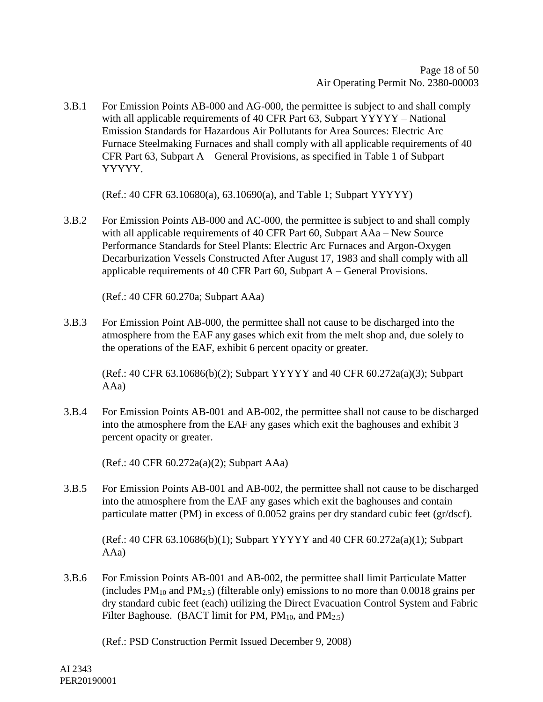3.B.1 For Emission Points AB-000 and AG-000, the permittee is subject to and shall comply with all applicable requirements of 40 CFR Part 63, Subpart YYYYY – National Emission Standards for Hazardous Air Pollutants for Area Sources: Electric Arc Furnace Steelmaking Furnaces and shall comply with all applicable requirements of 40 CFR Part 63, Subpart A – General Provisions, as specified in Table 1 of Subpart YYYYY.

(Ref.: 40 CFR 63.10680(a), 63.10690(a), and Table 1; Subpart YYYYY)

3.B.2 For Emission Points AB-000 and AC-000, the permittee is subject to and shall comply with all applicable requirements of 40 CFR Part 60, Subpart AAa – New Source Performance Standards for Steel Plants: Electric Arc Furnaces and Argon-Oxygen Decarburization Vessels Constructed After August 17, 1983 and shall comply with all applicable requirements of 40 CFR Part 60, Subpart A – General Provisions.

(Ref.: 40 CFR 60.270a; Subpart AAa)

3.B.3 For Emission Point AB-000, the permittee shall not cause to be discharged into the atmosphere from the EAF any gases which exit from the melt shop and, due solely to the operations of the EAF, exhibit 6 percent opacity or greater.

(Ref.: 40 CFR 63.10686(b)(2); Subpart YYYYY and 40 CFR 60.272a(a)(3); Subpart AAa)

3.B.4 For Emission Points AB-001 and AB-002, the permittee shall not cause to be discharged into the atmosphere from the EAF any gases which exit the baghouses and exhibit 3 percent opacity or greater.

(Ref.: 40 CFR 60.272a(a)(2); Subpart AAa)

3.B.5 For Emission Points AB-001 and AB-002, the permittee shall not cause to be discharged into the atmosphere from the EAF any gases which exit the baghouses and contain particulate matter (PM) in excess of 0.0052 grains per dry standard cubic feet (gr/dscf).

(Ref.: 40 CFR 63.10686(b)(1); Subpart YYYYY and 40 CFR 60.272a(a)(1); Subpart AAa)

3.B.6 For Emission Points AB-001 and AB-002, the permittee shall limit Particulate Matter (includes  $PM_{10}$  and  $PM_{2,5}$ ) (filterable only) emissions to no more than 0.0018 grains per dry standard cubic feet (each) utilizing the Direct Evacuation Control System and Fabric Filter Baghouse. (BACT limit for PM,  $PM_{10}$ , and  $PM_{2.5}$ )

(Ref.: PSD Construction Permit Issued December 9, 2008)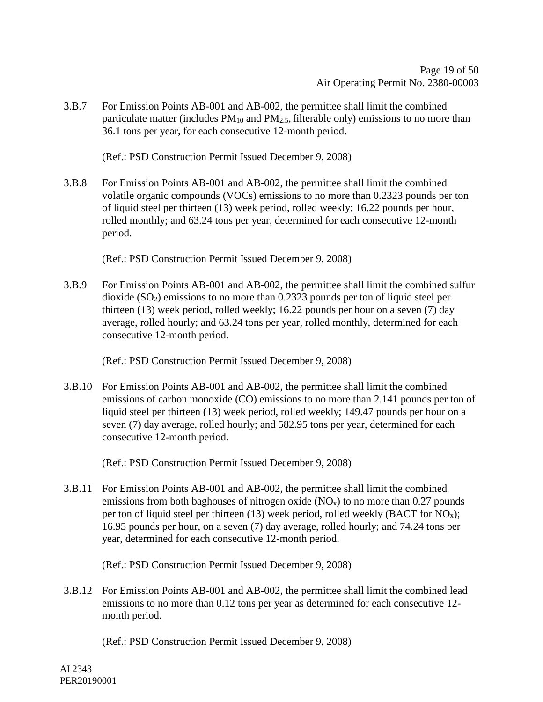3.B.7 For Emission Points AB-001 and AB-002, the permittee shall limit the combined particulate matter (includes  $PM_{10}$  and  $PM_{2.5}$ , filterable only) emissions to no more than 36.1 tons per year, for each consecutive 12-month period.

(Ref.: PSD Construction Permit Issued December 9, 2008)

3.B.8 For Emission Points AB-001 and AB-002, the permittee shall limit the combined volatile organic compounds (VOCs) emissions to no more than 0.2323 pounds per ton of liquid steel per thirteen (13) week period, rolled weekly; 16.22 pounds per hour, rolled monthly; and 63.24 tons per year, determined for each consecutive 12-month period.

(Ref.: PSD Construction Permit Issued December 9, 2008)

3.B.9 For Emission Points AB-001 and AB-002, the permittee shall limit the combined sulfur dioxide  $(SO<sub>2</sub>)$  emissions to no more than 0.2323 pounds per ton of liquid steel per thirteen (13) week period, rolled weekly; 16.22 pounds per hour on a seven (7) day average, rolled hourly; and 63.24 tons per year, rolled monthly, determined for each consecutive 12-month period.

(Ref.: PSD Construction Permit Issued December 9, 2008)

3.B.10 For Emission Points AB-001 and AB-002, the permittee shall limit the combined emissions of carbon monoxide (CO) emissions to no more than 2.141 pounds per ton of liquid steel per thirteen (13) week period, rolled weekly; 149.47 pounds per hour on a seven (7) day average, rolled hourly; and 582.95 tons per year, determined for each consecutive 12-month period.

(Ref.: PSD Construction Permit Issued December 9, 2008)

3.B.11 For Emission Points AB-001 and AB-002, the permittee shall limit the combined emissions from both baghouses of nitrogen oxide  $(NO<sub>x</sub>)$  to no more than 0.27 pounds per ton of liquid steel per thirteen (13) week period, rolled weekly (BACT for  $NO_x$ ); 16.95 pounds per hour, on a seven (7) day average, rolled hourly; and 74.24 tons per year, determined for each consecutive 12-month period.

(Ref.: PSD Construction Permit Issued December 9, 2008)

3.B.12 For Emission Points AB-001 and AB-002, the permittee shall limit the combined lead emissions to no more than 0.12 tons per year as determined for each consecutive 12 month period.

(Ref.: PSD Construction Permit Issued December 9, 2008)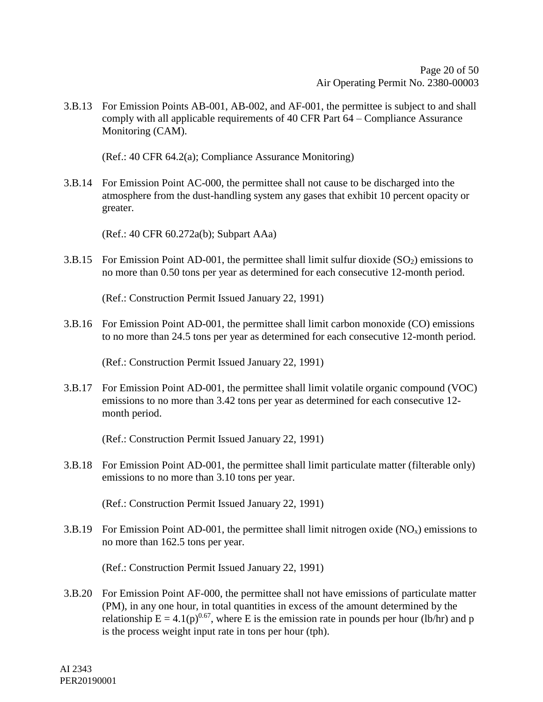3.B.13 For Emission Points AB-001, AB-002, and AF-001, the permittee is subject to and shall comply with all applicable requirements of 40 CFR Part 64 – Compliance Assurance Monitoring (CAM).

(Ref.: 40 CFR 64.2(a); Compliance Assurance Monitoring)

3.B.14 For Emission Point AC-000, the permittee shall not cause to be discharged into the atmosphere from the dust-handling system any gases that exhibit 10 percent opacity or greater.

(Ref.: 40 CFR 60.272a(b); Subpart AAa)

3.B.15 For Emission Point AD-001, the permittee shall limit sulfur dioxide  $(SO<sub>2</sub>)$  emissions to no more than 0.50 tons per year as determined for each consecutive 12-month period.

(Ref.: Construction Permit Issued January 22, 1991)

3.B.16 For Emission Point AD-001, the permittee shall limit carbon monoxide (CO) emissions to no more than 24.5 tons per year as determined for each consecutive 12-month period.

(Ref.: Construction Permit Issued January 22, 1991)

3.B.17 For Emission Point AD-001, the permittee shall limit volatile organic compound (VOC) emissions to no more than 3.42 tons per year as determined for each consecutive 12 month period.

(Ref.: Construction Permit Issued January 22, 1991)

3.B.18 For Emission Point AD-001, the permittee shall limit particulate matter (filterable only) emissions to no more than 3.10 tons per year.

(Ref.: Construction Permit Issued January 22, 1991)

3.B.19 For Emission Point AD-001, the permittee shall limit nitrogen oxide  $(NO<sub>x</sub>)$  emissions to no more than 162.5 tons per year.

(Ref.: Construction Permit Issued January 22, 1991)

3.B.20 For Emission Point AF-000, the permittee shall not have emissions of particulate matter (PM), in any one hour, in total quantities in excess of the amount determined by the relationship  $E = 4.1(p)^{0.67}$ , where E is the emission rate in pounds per hour (lb/hr) and p is the process weight input rate in tons per hour (tph).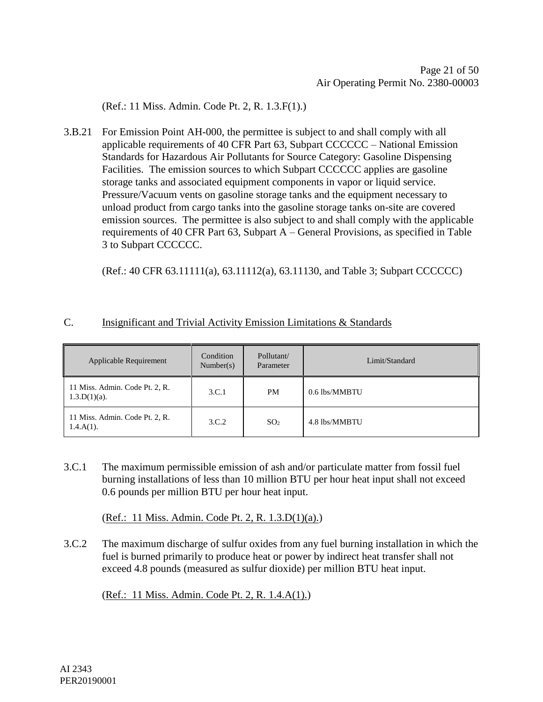(Ref.: 11 Miss. Admin. Code Pt. 2, R. 1.3.F(1).)

3.B.21 For Emission Point AH-000, the permittee is subject to and shall comply with all applicable requirements of 40 CFR Part 63, Subpart CCCCCC – National Emission Standards for Hazardous Air Pollutants for Source Category: Gasoline Dispensing Facilities. The emission sources to which Subpart CCCCCC applies are gasoline storage tanks and associated equipment components in vapor or liquid service. Pressure/Vacuum vents on gasoline storage tanks and the equipment necessary to unload product from cargo tanks into the gasoline storage tanks on-site are covered emission sources. The permittee is also subject to and shall comply with the applicable requirements of 40 CFR Part 63, Subpart A – General Provisions, as specified in Table 3 to Subpart CCCCCC.

(Ref.: 40 CFR 63.11111(a), 63.11112(a), 63.11130, and Table 3; Subpart CCCCCC)

#### C. Insignificant and Trivial Activity Emission Limitations & Standards

| Applicable Requirement                            | Condition<br>Number(s) | Pollutant/<br>Parameter | Limit/Standard |
|---------------------------------------------------|------------------------|-------------------------|----------------|
| 11 Miss. Admin. Code Pt. 2, R.<br>$1.3.D(1)(a)$ . | 3.C.1                  | PM                      | 0.6 lbs/MMBTU  |
| 11 Miss. Admin. Code Pt. 2, R.<br>$1.4.A(1)$ .    | 3.C.2                  | SO <sub>2</sub>         | 4.8 lbs/MMBTU  |

3.C.1 The maximum permissible emission of ash and/or particulate matter from fossil fuel burning installations of less than 10 million BTU per hour heat input shall not exceed 0.6 pounds per million BTU per hour heat input.

(Ref.: 11 Miss. Admin. Code Pt. 2, R. 1.3.D(1)(a).)

3.C.2 The maximum discharge of sulfur oxides from any fuel burning installation in which the fuel is burned primarily to produce heat or power by indirect heat transfer shall not exceed 4.8 pounds (measured as sulfur dioxide) per million BTU heat input.

(Ref.: 11 Miss. Admin. Code Pt. 2, R. 1.4.A(1).)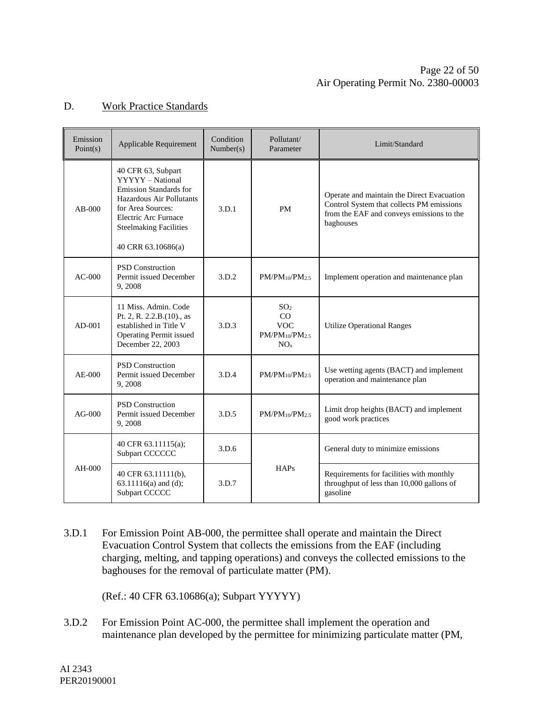#### Page 22 of [50](#page-49-0) Air Operating Permit No. 2380-00003

#### D. Work Practice Standards

| Emission<br>Point(s) | Applicable Requirement                                                                                                                                                                                  | Condition<br>Number(s) | Pollutant/<br>Parameter                                                         | Limit/Standard                                                                                                                                    |
|----------------------|---------------------------------------------------------------------------------------------------------------------------------------------------------------------------------------------------------|------------------------|---------------------------------------------------------------------------------|---------------------------------------------------------------------------------------------------------------------------------------------------|
| $AB-000$             | 40 CFR 63, Subpart<br>YYYYY - National<br><b>Emission Standards for</b><br>Hazardous Air Pollutants<br>for Area Sources:<br>Electric Arc Furnace<br><b>Steelmaking Facilities</b><br>40 CRR 63.10686(a) | 3.D.1                  | <b>PM</b>                                                                       | Operate and maintain the Direct Evacuation<br>Control System that collects PM emissions<br>from the EAF and conveys emissions to the<br>baghouses |
| $AC-000$             | <b>PSD</b> Construction<br>Permit issued December<br>9,2008                                                                                                                                             | 3.D.2                  | $PM/PM_{10}/PM_{2.5}$                                                           | Implement operation and maintenance plan                                                                                                          |
| $AD-001$             | 11 Miss. Admin. Code<br>Pt. 2, R. 2.2.B.(10)., as<br>established in Title V<br><b>Operating Permit issued</b><br>December 22, 2003                                                                      | 3.D.3                  | SO <sub>2</sub><br>CO<br><b>VOC</b><br>$PM/PM_{10}/PM_{2.5}$<br>NO <sub>x</sub> | <b>Utilize Operational Ranges</b>                                                                                                                 |
| $AE-000$             | <b>PSD</b> Construction<br>Permit issued December<br>9,2008                                                                                                                                             | 3.D.4                  | $PM/PM_{10}/PM_{2.5}$                                                           | Use wetting agents (BACT) and implement<br>operation and maintenance plan                                                                         |
| $AG-000$             | <b>PSD</b> Construction<br>Permit issued December<br>9,2008                                                                                                                                             | 3.D.5                  | $PM/PM_{10}/PM_{2.5}$                                                           | Limit drop heights (BACT) and implement<br>good work practices                                                                                    |
|                      | 40 CFR 63.11115(a);<br>Subpart CCCCCC                                                                                                                                                                   | 3.D.6                  |                                                                                 | General duty to minimize emissions                                                                                                                |
| $AH-000$             | 40 CFR 63.11111(b),<br>63.11116(a) and (d);<br>Subpart CCCCC                                                                                                                                            | 3.D.7                  | HAPs                                                                            | Requirements for facilities with monthly<br>throughput of less than 10,000 gallons of<br>gasoline                                                 |

3.D.1 For Emission Point AB-000, the permittee shall operate and maintain the Direct Evacuation Control System that collects the emissions from the EAF (including charging, melting, and tapping operations) and conveys the collected emissions to the baghouses for the removal of particulate matter (PM).

(Ref.: 40 CFR 63.10686(a); Subpart YYYYY)

3.D.2 For Emission Point AC-000, the permittee shall implement the operation and maintenance plan developed by the permittee for minimizing particulate matter (PM,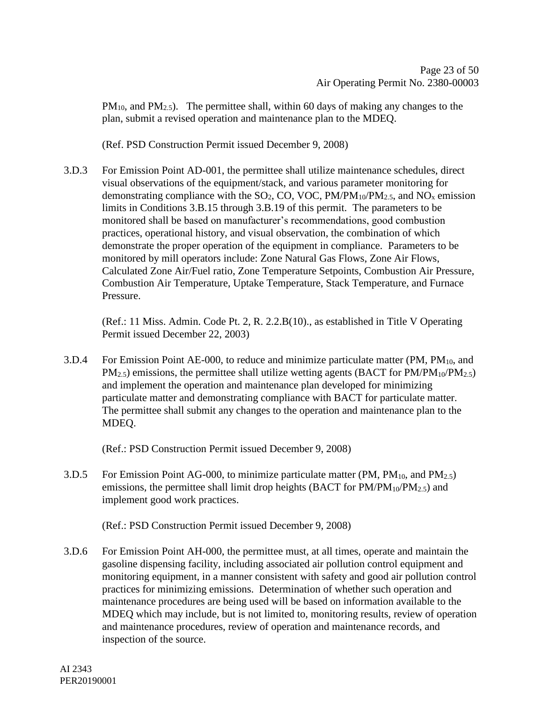$PM_{10}$ , and  $PM_{2.5}$ ). The permittee shall, within 60 days of making any changes to the plan, submit a revised operation and maintenance plan to the MDEQ.

(Ref. PSD Construction Permit issued December 9, 2008)

3.D.3 For Emission Point AD-001, the permittee shall utilize maintenance schedules, direct visual observations of the equipment/stack, and various parameter monitoring for demonstrating compliance with the  $SO_2$ , CO, VOC, PM/PM<sub>10</sub>/PM<sub>2.5</sub>, and NO<sub>x</sub> emission limits in Conditions 3.B.15 through 3.B.19 of this permit. The parameters to be monitored shall be based on manufacturer's recommendations, good combustion practices, operational history, and visual observation, the combination of which demonstrate the proper operation of the equipment in compliance. Parameters to be monitored by mill operators include: Zone Natural Gas Flows, Zone Air Flows, Calculated Zone Air/Fuel ratio, Zone Temperature Setpoints, Combustion Air Pressure, Combustion Air Temperature, Uptake Temperature, Stack Temperature, and Furnace Pressure.

(Ref.: 11 Miss. Admin. Code Pt. 2, R. 2.2.B(10)., as established in Title V Operating Permit issued December 22, 2003)

3.D.4 For Emission Point AE-000, to reduce and minimize particulate matter (PM, PM<sub>10</sub>, and  $PM_{2.5}$ ) emissions, the permittee shall utilize wetting agents (BACT for  $PM/PM_{10}/PM_{2.5}$ ) and implement the operation and maintenance plan developed for minimizing particulate matter and demonstrating compliance with BACT for particulate matter. The permittee shall submit any changes to the operation and maintenance plan to the MDEQ.

(Ref.: PSD Construction Permit issued December 9, 2008)

3.D.5 For Emission Point AG-000, to minimize particulate matter (PM,  $PM_{10}$ , and  $PM_{2.5}$ ) emissions, the permittee shall limit drop heights (BACT for  $PM/PM_{10}/PM_{2.5}$ ) and implement good work practices.

(Ref.: PSD Construction Permit issued December 9, 2008)

3.D.6 For Emission Point AH-000, the permittee must, at all times, operate and maintain the gasoline dispensing facility, including associated air pollution control equipment and monitoring equipment, in a manner consistent with safety and good air pollution control practices for minimizing emissions. Determination of whether such operation and maintenance procedures are being used will be based on information available to the MDEQ which may include, but is not limited to, monitoring results, review of operation and maintenance procedures, review of operation and maintenance records, and inspection of the source.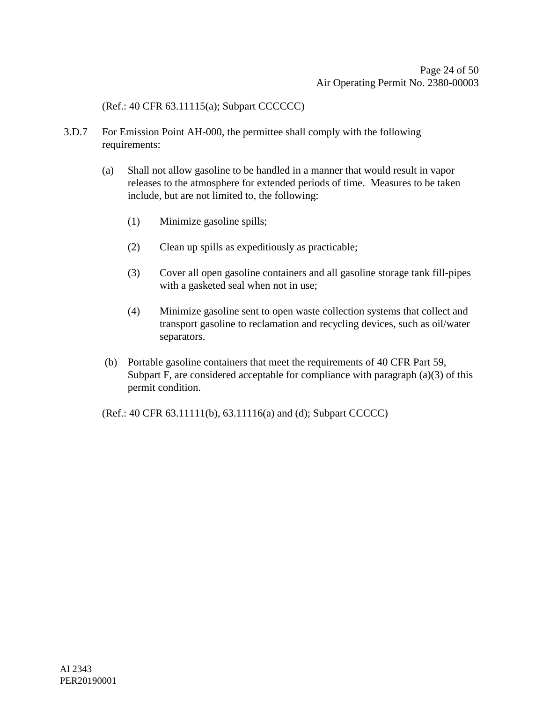(Ref.: 40 CFR 63.11115(a); Subpart CCCCCC)

- 3.D.7 For Emission Point AH-000, the permittee shall comply with the following requirements:
	- (a) Shall not allow gasoline to be handled in a manner that would result in vapor releases to the atmosphere for extended periods of time. Measures to be taken include, but are not limited to, the following:
		- (1) Minimize gasoline spills;
		- (2) Clean up spills as expeditiously as practicable;
		- (3) Cover all open gasoline containers and all gasoline storage tank fill-pipes with a gasketed seal when not in use;
		- (4) Minimize gasoline sent to open waste collection systems that collect and transport gasoline to reclamation and recycling devices, such as oil/water separators.
	- (b) Portable gasoline containers that meet the requirements of 40 CFR Part 59, Subpart F, are considered acceptable for compliance with paragraph (a)(3) of this permit condition.

(Ref.: 40 CFR 63.11111(b), 63.11116(a) and (d); Subpart CCCCC)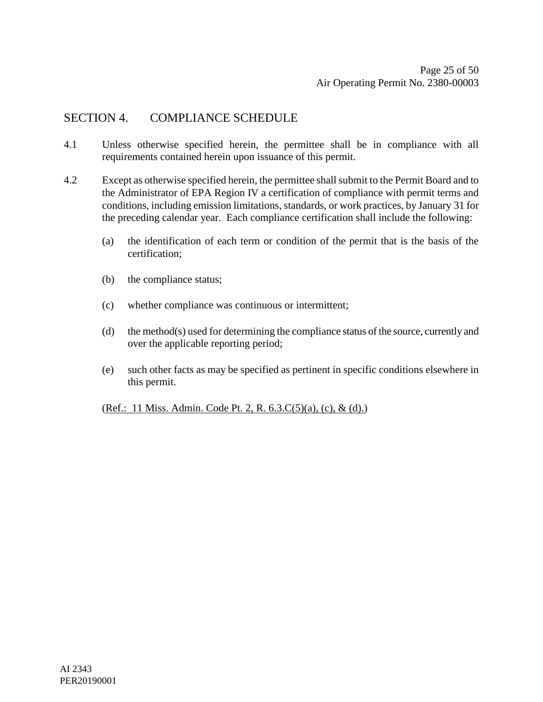### SECTION 4. COMPLIANCE SCHEDULE

- 4.1 Unless otherwise specified herein, the permittee shall be in compliance with all requirements contained herein upon issuance of this permit.
- 4.2 Except as otherwise specified herein, the permittee shall submit to the Permit Board and to the Administrator of EPA Region IV a certification of compliance with permit terms and conditions, including emission limitations, standards, or work practices, by January 31 for the preceding calendar year. Each compliance certification shall include the following:
	- (a) the identification of each term or condition of the permit that is the basis of the certification;
	- (b) the compliance status;
	- (c) whether compliance was continuous or intermittent;
	- (d) the method(s) used for determining the compliance status of the source, currently and over the applicable reporting period;
	- (e) such other facts as may be specified as pertinent in specific conditions elsewhere in this permit.

(Ref.: 11 Miss. Admin. Code Pt. 2, R. 6.3.C(5)(a), (c), & (d).)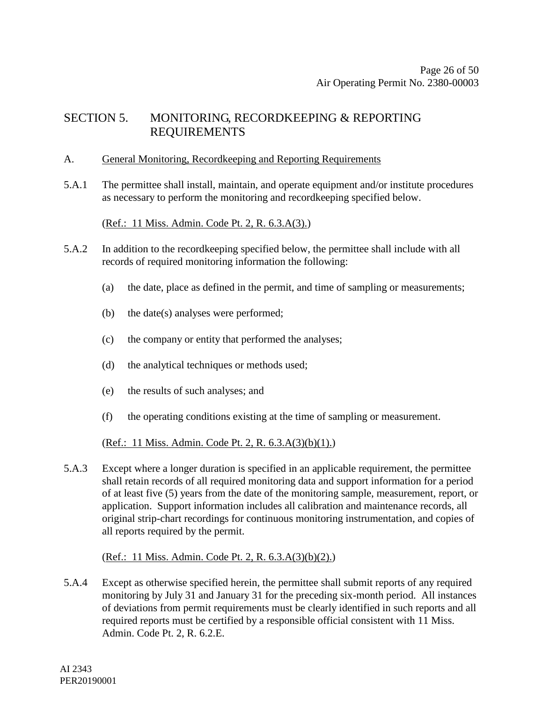### SECTION 5. MONITORING, RECORDKEEPING & REPORTING REQUIREMENTS

#### A. General Monitoring, Recordkeeping and Reporting Requirements

5.A.1 The permittee shall install, maintain, and operate equipment and/or institute procedures as necessary to perform the monitoring and recordkeeping specified below.

(Ref.: 11 Miss. Admin. Code Pt. 2, R. 6.3.A(3).)

- 5.A.2 In addition to the recordkeeping specified below, the permittee shall include with all records of required monitoring information the following:
	- (a) the date, place as defined in the permit, and time of sampling or measurements;
	- (b) the date(s) analyses were performed;
	- (c) the company or entity that performed the analyses;
	- (d) the analytical techniques or methods used;
	- (e) the results of such analyses; and
	- (f) the operating conditions existing at the time of sampling or measurement.

#### (Ref.: 11 Miss. Admin. Code Pt. 2, R.  $6.3.A(3)(b)(1)$ .)

5.A.3 Except where a longer duration is specified in an applicable requirement, the permittee shall retain records of all required monitoring data and support information for a period of at least five (5) years from the date of the monitoring sample, measurement, report, or application. Support information includes all calibration and maintenance records, all original strip-chart recordings for continuous monitoring instrumentation, and copies of all reports required by the permit.

#### (Ref.: 11 Miss. Admin. Code Pt. 2, R. 6.3.A(3)(b)(2).)

5.A.4 Except as otherwise specified herein, the permittee shall submit reports of any required monitoring by July 31 and January 31 for the preceding six-month period. All instances of deviations from permit requirements must be clearly identified in such reports and all required reports must be certified by a responsible official consistent with 11 Miss. Admin. Code Pt. 2, R. 6.2.E.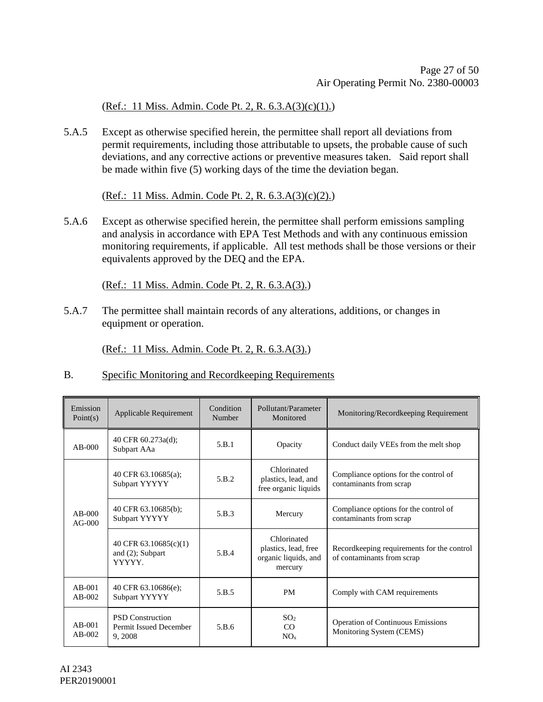(Ref.: 11 Miss. Admin. Code Pt. 2, R.  $6.3.A(3)(c)(1)$ .)

5.A.5 Except as otherwise specified herein, the permittee shall report all deviations from permit requirements, including those attributable to upsets, the probable cause of such deviations, and any corrective actions or preventive measures taken. Said report shall be made within five (5) working days of the time the deviation began.

(Ref.: 11 Miss. Admin. Code Pt. 2, R. 6.3.A(3)(c)(2).)

5.A.6 Except as otherwise specified herein, the permittee shall perform emissions sampling and analysis in accordance with EPA Test Methods and with any continuous emission monitoring requirements, if applicable. All test methods shall be those versions or their equivalents approved by the DEQ and the EPA.

(Ref.: 11 Miss. Admin. Code Pt. 2, R. 6.3.A(3).)

5.A.7 The permittee shall maintain records of any alterations, additions, or changes in equipment or operation.

(Ref.: 11 Miss. Admin. Code Pt. 2, R. 6.3.A(3).)

#### B. Specific Monitoring and Recordkeeping Requirements

| Emission<br>Point(s) | Applicable Requirement                                       | Condition<br>Number | Pollutant/Parameter<br>Monitored                                       | Monitoring/Recordkeeping Requirement                                     |
|----------------------|--------------------------------------------------------------|---------------------|------------------------------------------------------------------------|--------------------------------------------------------------------------|
| $AB-000$             | 40 CFR 60.273a(d);<br>Subpart AAa                            | 5.B.1               | Opacity                                                                | Conduct daily VEEs from the melt shop                                    |
| $AB-000$<br>$AG-000$ | 40 CFR $63.10685(a)$ ;<br>Subpart YYYYY                      | 5.B.2               | Chlorinated<br>plastics, lead, and<br>free organic liquids             | Compliance options for the control of<br>contaminants from scrap         |
|                      | 40 CFR 63.10685(b);<br>Subpart YYYYY                         | 5.B.3               | Mercury                                                                | Compliance options for the control of<br>contaminants from scrap         |
|                      | 40 CFR 63.10685(c)(1)<br>and (2); Subpart<br>YYYYY.          | 5.B.4               | Chlorinated<br>plastics, lead, free<br>organic liquids, and<br>mercury | Recordkeeping requirements for the control<br>of contaminants from scrap |
| $AB-001$<br>$AB-002$ | 40 CFR 63.10686(e);<br>Subpart YYYYY                         | 5.B.5               | <b>PM</b>                                                              | Comply with CAM requirements                                             |
| $AB-001$<br>$AB-002$ | <b>PSD</b> Construction<br>Permit Issued December<br>9, 2008 | 5.B.6               | SO <sub>2</sub><br>CO<br>NO <sub>x</sub>                               | <b>Operation of Continuous Emissions</b><br>Monitoring System (CEMS)     |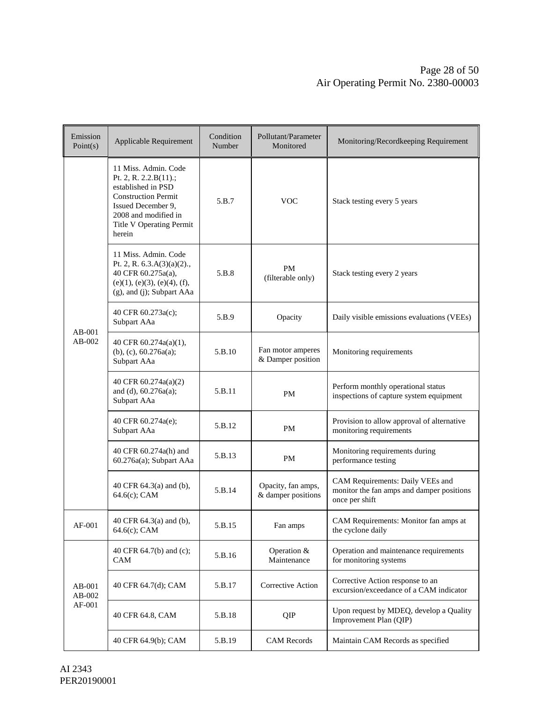| Emission<br>Point(s)         | Applicable Requirement                                                                                                                                                                | Condition<br>Number | Pollutant/Parameter<br>Monitored         | Monitoring/Recordkeeping Requirement                                                            |
|------------------------------|---------------------------------------------------------------------------------------------------------------------------------------------------------------------------------------|---------------------|------------------------------------------|-------------------------------------------------------------------------------------------------|
|                              | 11 Miss. Admin. Code<br>Pt. 2, R. 2.2.B(11).;<br>established in PSD<br><b>Construction Permit</b><br>Issued December 9,<br>2008 and modified in<br>Title V Operating Permit<br>herein | 5.B.7               | <b>VOC</b>                               | Stack testing every 5 years                                                                     |
|                              | 11 Miss. Admin. Code<br>Pt. 2, R. $6.3.A(3)(a)(2)$ .,<br>40 CFR 60.275a(a),<br>(e)(1), (e)(3), (e)(4), (f),<br>(g), and (j); Subpart AAa                                              | 5.B.8               | <b>PM</b><br>(filterable only)           | Stack testing every 2 years                                                                     |
|                              | 40 CFR 60.273a(c);<br>Subpart AAa                                                                                                                                                     | 5.B.9               | Opacity                                  | Daily visible emissions evaluations (VEEs)                                                      |
| $AB-001$<br>$AB-002$         | 40 CFR $60.274a(a)(1)$ ,<br>(b), (c), $60.276a(a)$ ;<br>Subpart AAa                                                                                                                   | 5.B.10              | Fan motor amperes<br>& Damper position   | Monitoring requirements                                                                         |
|                              | 40 CFR 60.274a(a)(2)<br>and (d), 60.276a(a);<br>Subpart AAa                                                                                                                           | 5.B.11              | <b>PM</b>                                | Perform monthly operational status<br>inspections of capture system equipment                   |
|                              | 40 CFR 60.274a(e);<br>Subpart AAa                                                                                                                                                     | 5.B.12              | <b>PM</b>                                | Provision to allow approval of alternative<br>monitoring requirements                           |
|                              | 40 CFR 60.274a(h) and<br>60.276a(a); Subpart AAa                                                                                                                                      | 5.B.13              | PM                                       | Monitoring requirements during<br>performance testing                                           |
|                              | 40 CFR 64.3(a) and (b),<br>64.6(c); CAM                                                                                                                                               | 5.B.14              | Opacity, fan amps,<br>& damper positions | CAM Requirements: Daily VEEs and<br>monitor the fan amps and damper positions<br>once per shift |
| AF-001                       | 40 CFR 64.3(a) and (b),<br>64.6(c); CAM                                                                                                                                               | 5.B.15              | Fan amps                                 | CAM Requirements: Monitor fan amps at<br>the cyclone daily                                      |
| AB-001<br>$AB-002$<br>AF-001 | 40 CFR 64.7(b) and (c);<br><b>CAM</b>                                                                                                                                                 | 5.B.16              | Operation &<br>Maintenance               | Operation and maintenance requirements<br>for monitoring systems                                |
|                              | 40 CFR 64.7(d); CAM                                                                                                                                                                   | 5.B.17              | Corrective Action                        | Corrective Action response to an<br>excursion/exceedance of a CAM indicator                     |
|                              | 40 CFR 64.8, CAM                                                                                                                                                                      | 5.B.18              | QIP                                      | Upon request by MDEQ, develop a Quality<br>Improvement Plan (QIP)                               |
|                              | 40 CFR 64.9(b); CAM                                                                                                                                                                   | 5.B.19              | <b>CAM Records</b>                       | Maintain CAM Records as specified                                                               |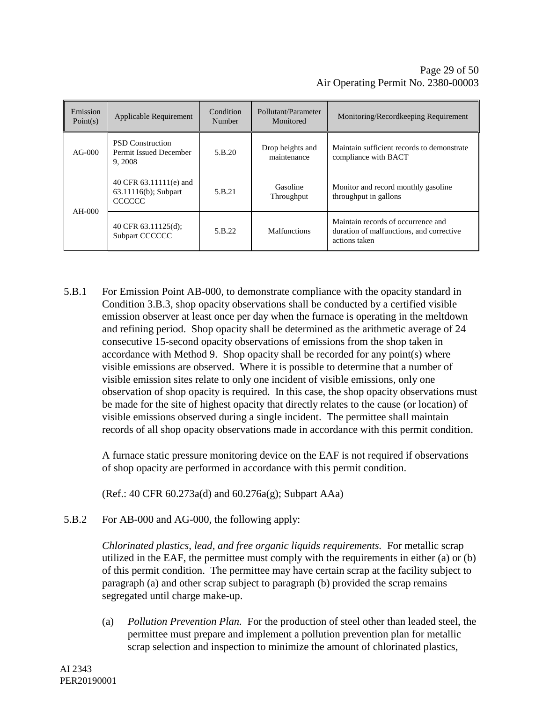| Emission<br>Point(s) | Applicable Requirement                                          | Condition<br>Number | Pollutant/Parameter<br>Monitored | Monitoring/Recordkeeping Requirement                                                            |
|----------------------|-----------------------------------------------------------------|---------------------|----------------------------------|-------------------------------------------------------------------------------------------------|
| $AG-000$             | <b>PSD</b> Construction<br>Permit Issued December<br>9, 2008    | 5.B.20              | Drop heights and<br>maintenance  | Maintain sufficient records to demonstrate<br>compliance with BACT                              |
| $AH-000$             | 40 CFR 63.11111(e) and<br>63.11116(b); Subpart<br><b>CCCCCC</b> | 5.B.21              | Gasoline<br>Throughput           | Monitor and record monthly gasoline<br>throughput in gallons                                    |
|                      | 40 CFR $63.11125(d)$ ;<br>Subpart CCCCCC                        | 5.B.22              | <b>Malfunctions</b>              | Maintain records of occurrence and<br>duration of malfunctions, and corrective<br>actions taken |

5.B.1 For Emission Point AB-000, to demonstrate compliance with the opacity standard in Condition 3.B.3, shop opacity observations shall be conducted by a certified visible emission observer at least once per day when the furnace is operating in the meltdown and refining period. Shop opacity shall be determined as the arithmetic average of 24 consecutive 15-second opacity observations of emissions from the shop taken in accordance with Method 9. Shop opacity shall be recorded for any point(s) where visible emissions are observed. Where it is possible to determine that a number of visible emission sites relate to only one incident of visible emissions, only one observation of shop opacity is required. In this case, the shop opacity observations must be made for the site of highest opacity that directly relates to the cause (or location) of visible emissions observed during a single incident. The permittee shall maintain records of all shop opacity observations made in accordance with this permit condition.

A furnace static pressure monitoring device on the EAF is not required if observations of shop opacity are performed in accordance with this permit condition.

(Ref.: 40 CFR 60.273a(d) and 60.276a(g); Subpart AAa)

5.B.2 For AB-000 and AG-000, the following apply:

*Chlorinated plastics, lead, and free organic liquids requirements.* For metallic scrap utilized in the EAF, the permittee must comply with the requirements in either (a) or (b) of this permit condition. The permittee may have certain scrap at the facility subject to paragraph (a) and other scrap subject to paragraph (b) provided the scrap remains segregated until charge make-up.

(a) *Pollution Prevention Plan.* For the production of steel other than leaded steel, the permittee must prepare and implement a pollution prevention plan for metallic scrap selection and inspection to minimize the amount of chlorinated plastics,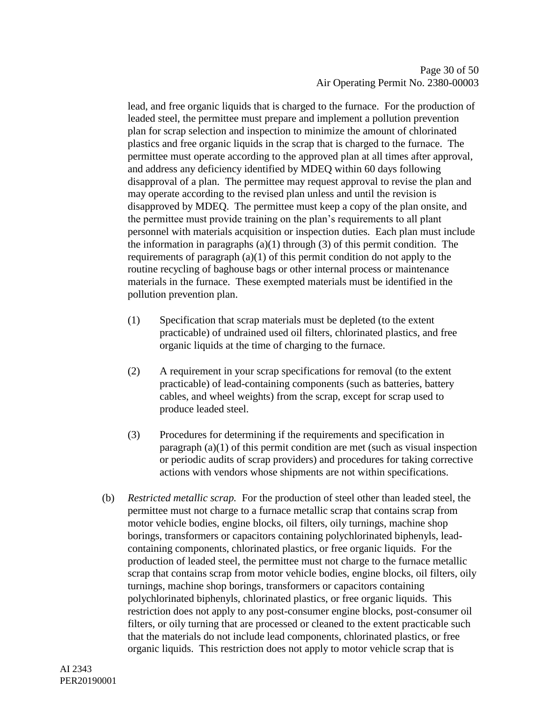lead, and free organic liquids that is charged to the furnace. For the production of leaded steel, the permittee must prepare and implement a pollution prevention plan for scrap selection and inspection to minimize the amount of chlorinated plastics and free organic liquids in the scrap that is charged to the furnace. The permittee must operate according to the approved plan at all times after approval, and address any deficiency identified by MDEQ within 60 days following disapproval of a plan. The permittee may request approval to revise the plan and may operate according to the revised plan unless and until the revision is disapproved by MDEQ. The permittee must keep a copy of the plan onsite, and the permittee must provide training on the plan's requirements to all plant personnel with materials acquisition or inspection duties. Each plan must include the information in paragraphs  $(a)(1)$  through  $(3)$  of this permit condition. The requirements of paragraph  $(a)(1)$  of this permit condition do not apply to the routine recycling of baghouse bags or other internal process or maintenance materials in the furnace. These exempted materials must be identified in the pollution prevention plan.

- (1) Specification that scrap materials must be depleted (to the extent practicable) of undrained used oil filters, chlorinated plastics, and free organic liquids at the time of charging to the furnace.
- (2) A requirement in your scrap specifications for removal (to the extent practicable) of lead-containing components (such as batteries, battery cables, and wheel weights) from the scrap, except for scrap used to produce leaded steel.
- (3) Procedures for determining if the requirements and specification in paragraph (a)(1) of this permit condition are met (such as visual inspection or periodic audits of scrap providers) and procedures for taking corrective actions with vendors whose shipments are not within specifications.
- (b) *Restricted metallic scrap.* For the production of steel other than leaded steel, the permittee must not charge to a furnace metallic scrap that contains scrap from motor vehicle bodies, engine blocks, oil filters, oily turnings, machine shop borings, transformers or capacitors containing polychlorinated biphenyls, leadcontaining components, chlorinated plastics, or free organic liquids. For the production of leaded steel, the permittee must not charge to the furnace metallic scrap that contains scrap from motor vehicle bodies, engine blocks, oil filters, oily turnings, machine shop borings, transformers or capacitors containing polychlorinated biphenyls, chlorinated plastics, or free organic liquids. This restriction does not apply to any post-consumer engine blocks, post-consumer oil filters, or oily turning that are processed or cleaned to the extent practicable such that the materials do not include lead components, chlorinated plastics, or free organic liquids. This restriction does not apply to motor vehicle scrap that is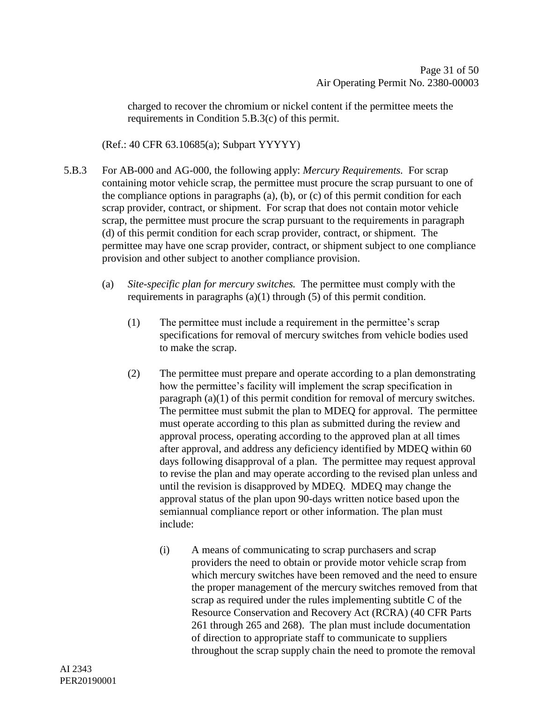charged to recover the chromium or nickel content if the permittee meets the requirements in Condition 5.B.3(c) of this permit.

(Ref.: 40 CFR 63.10685(a); Subpart YYYYY)

- 5.B.3 For AB-000 and AG-000, the following apply: *Mercury Requirements.* For scrap containing motor vehicle scrap, the permittee must procure the scrap pursuant to one of the compliance options in paragraphs (a), (b), or (c) of this permit condition for each scrap provider, contract, or shipment. For scrap that does not contain motor vehicle scrap, the permittee must procure the scrap pursuant to the requirements in paragraph (d) of this permit condition for each scrap provider, contract, or shipment. The permittee may have one scrap provider, contract, or shipment subject to one compliance provision and other subject to another compliance provision.
	- (a) *Site-specific plan for mercury switches.* The permittee must comply with the requirements in paragraphs (a)(1) through (5) of this permit condition.
		- (1) The permittee must include a requirement in the permittee's scrap specifications for removal of mercury switches from vehicle bodies used to make the scrap.
		- (2) The permittee must prepare and operate according to a plan demonstrating how the permittee's facility will implement the scrap specification in paragraph (a)(1) of this permit condition for removal of mercury switches. The permittee must submit the plan to MDEQ for approval. The permittee must operate according to this plan as submitted during the review and approval process, operating according to the approved plan at all times after approval, and address any deficiency identified by MDEQ within 60 days following disapproval of a plan. The permittee may request approval to revise the plan and may operate according to the revised plan unless and until the revision is disapproved by MDEQ. MDEQ may change the approval status of the plan upon 90-days written notice based upon the semiannual compliance report or other information. The plan must include:
			- (i) A means of communicating to scrap purchasers and scrap providers the need to obtain or provide motor vehicle scrap from which mercury switches have been removed and the need to ensure the proper management of the mercury switches removed from that scrap as required under the rules implementing subtitle C of the Resource Conservation and Recovery Act (RCRA) (40 CFR Parts 261 through 265 and 268). The plan must include documentation of direction to appropriate staff to communicate to suppliers throughout the scrap supply chain the need to promote the removal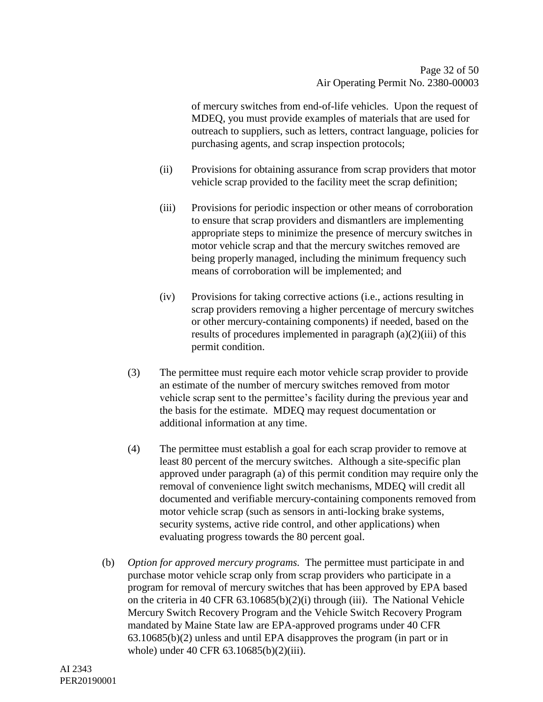of mercury switches from end-of-life vehicles. Upon the request of MDEQ, you must provide examples of materials that are used for outreach to suppliers, such as letters, contract language, policies for purchasing agents, and scrap inspection protocols;

- (ii) Provisions for obtaining assurance from scrap providers that motor vehicle scrap provided to the facility meet the scrap definition;
- (iii) Provisions for periodic inspection or other means of corroboration to ensure that scrap providers and dismantlers are implementing appropriate steps to minimize the presence of mercury switches in motor vehicle scrap and that the mercury switches removed are being properly managed, including the minimum frequency such means of corroboration will be implemented; and
- (iv) Provisions for taking corrective actions (i.e., actions resulting in scrap providers removing a higher percentage of mercury switches or other mercury-containing components) if needed, based on the results of procedures implemented in paragraph (a)(2)(iii) of this permit condition.
- (3) The permittee must require each motor vehicle scrap provider to provide an estimate of the number of mercury switches removed from motor vehicle scrap sent to the permittee's facility during the previous year and the basis for the estimate. MDEQ may request documentation or additional information at any time.
- (4) The permittee must establish a goal for each scrap provider to remove at least 80 percent of the mercury switches. Although a site-specific plan approved under paragraph (a) of this permit condition may require only the removal of convenience light switch mechanisms, MDEQ will credit all documented and verifiable mercury-containing components removed from motor vehicle scrap (such as sensors in anti-locking brake systems, security systems, active ride control, and other applications) when evaluating progress towards the 80 percent goal.
- (b) *Option for approved mercury programs.* The permittee must participate in and purchase motor vehicle scrap only from scrap providers who participate in a program for removal of mercury switches that has been approved by EPA based on the criteria in 40 CFR 63.10685(b)(2)(i) through (iii). The National Vehicle Mercury Switch Recovery Program and the Vehicle Switch Recovery Program mandated by Maine State law are EPA-approved programs under 40 CFR 63.10685(b)(2) unless and until EPA disapproves the program (in part or in whole) under 40 CFR 63.10685(b)(2)(iii).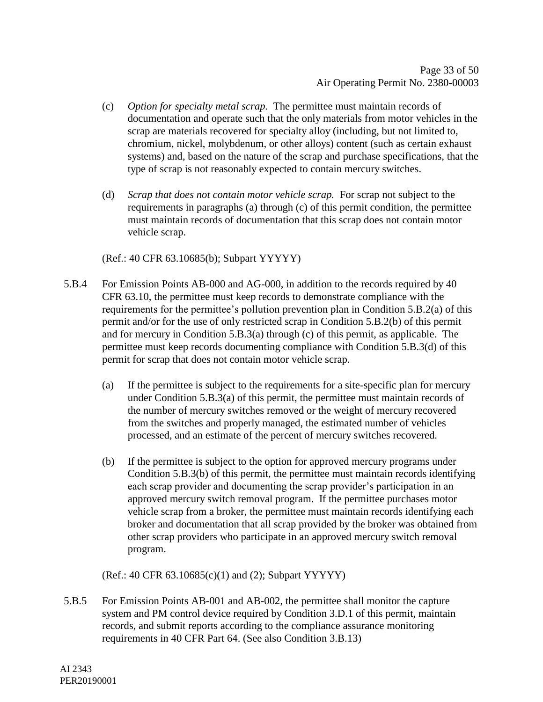- (c) *Option for specialty metal scrap.* The permittee must maintain records of documentation and operate such that the only materials from motor vehicles in the scrap are materials recovered for specialty alloy (including, but not limited to, chromium, nickel, molybdenum, or other alloys) content (such as certain exhaust systems) and, based on the nature of the scrap and purchase specifications, that the type of scrap is not reasonably expected to contain mercury switches.
- (d) *Scrap that does not contain motor vehicle scrap.* For scrap not subject to the requirements in paragraphs (a) through (c) of this permit condition, the permittee must maintain records of documentation that this scrap does not contain motor vehicle scrap.

(Ref.: 40 CFR 63.10685(b); Subpart YYYYY)

- 5.B.4 For Emission Points AB-000 and AG-000, in addition to the records required by 40 CFR 63.10, the permittee must keep records to demonstrate compliance with the requirements for the permittee's pollution prevention plan in Condition 5.B.2(a) of this permit and/or for the use of only restricted scrap in Condition 5.B.2(b) of this permit and for mercury in Condition 5.B.3(a) through (c) of this permit, as applicable. The permittee must keep records documenting compliance with Condition 5.B.3(d) of this permit for scrap that does not contain motor vehicle scrap.
	- (a) If the permittee is subject to the requirements for a site-specific plan for mercury under Condition 5.B.3(a) of this permit, the permittee must maintain records of the number of mercury switches removed or the weight of mercury recovered from the switches and properly managed, the estimated number of vehicles processed, and an estimate of the percent of mercury switches recovered.
	- (b) If the permittee is subject to the option for approved mercury programs under Condition 5.B.3(b) of this permit, the permittee must maintain records identifying each scrap provider and documenting the scrap provider's participation in an approved mercury switch removal program. If the permittee purchases motor vehicle scrap from a broker, the permittee must maintain records identifying each broker and documentation that all scrap provided by the broker was obtained from other scrap providers who participate in an approved mercury switch removal program.

(Ref.: 40 CFR 63.10685(c)(1) and (2); Subpart YYYYY)

5.B.5 For Emission Points AB-001 and AB-002, the permittee shall monitor the capture system and PM control device required by Condition 3.D.1 of this permit, maintain records, and submit reports according to the compliance assurance monitoring requirements in 40 CFR Part 64. (See also Condition 3.B.13)

AI 2343 PER20190001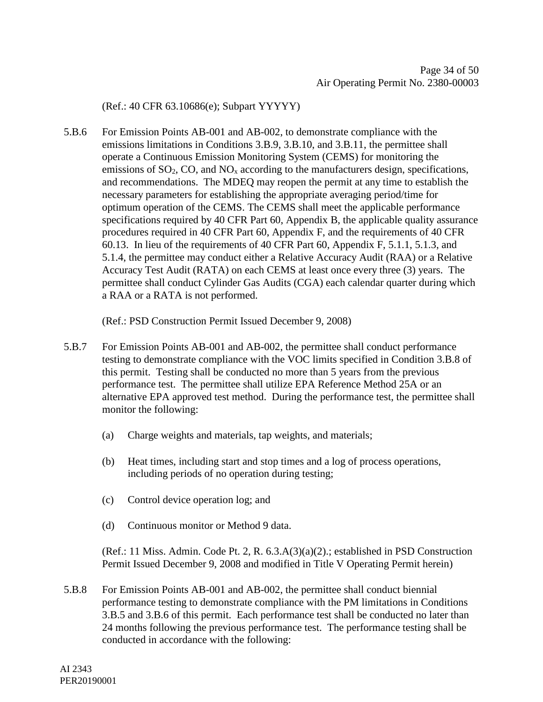(Ref.: 40 CFR 63.10686(e); Subpart YYYYY)

5.B.6 For Emission Points AB-001 and AB-002, to demonstrate compliance with the emissions limitations in Conditions 3.B.9, 3.B.10, and 3.B.11, the permittee shall operate a Continuous Emission Monitoring System (CEMS) for monitoring the emissions of  $SO_2$ ,  $CO$ , and  $NO_x$  according to the manufacturers design, specifications, and recommendations. The MDEQ may reopen the permit at any time to establish the necessary parameters for establishing the appropriate averaging period/time for optimum operation of the CEMS. The CEMS shall meet the applicable performance specifications required by 40 CFR Part 60, Appendix B, the applicable quality assurance procedures required in 40 CFR Part 60, Appendix F, and the requirements of 40 CFR 60.13. In lieu of the requirements of 40 CFR Part 60, Appendix F, 5.1.1, 5.1.3, and 5.1.4, the permittee may conduct either a Relative Accuracy Audit (RAA) or a Relative Accuracy Test Audit (RATA) on each CEMS at least once every three (3) years. The permittee shall conduct Cylinder Gas Audits (CGA) each calendar quarter during which a RAA or a RATA is not performed.

(Ref.: PSD Construction Permit Issued December 9, 2008)

- 5.B.7 For Emission Points AB-001 and AB-002, the permittee shall conduct performance testing to demonstrate compliance with the VOC limits specified in Condition 3.B.8 of this permit. Testing shall be conducted no more than 5 years from the previous performance test. The permittee shall utilize EPA Reference Method 25A or an alternative EPA approved test method. During the performance test, the permittee shall monitor the following:
	- (a) Charge weights and materials, tap weights, and materials;
	- (b) Heat times, including start and stop times and a log of process operations, including periods of no operation during testing;
	- (c) Control device operation log; and
	- (d) Continuous monitor or Method 9 data.

(Ref.: 11 Miss. Admin. Code Pt. 2, R. 6.3.A(3)(a)(2).; established in PSD Construction Permit Issued December 9, 2008 and modified in Title V Operating Permit herein)

5.B.8 For Emission Points AB-001 and AB-002, the permittee shall conduct biennial performance testing to demonstrate compliance with the PM limitations in Conditions 3.B.5 and 3.B.6 of this permit. Each performance test shall be conducted no later than 24 months following the previous performance test. The performance testing shall be conducted in accordance with the following: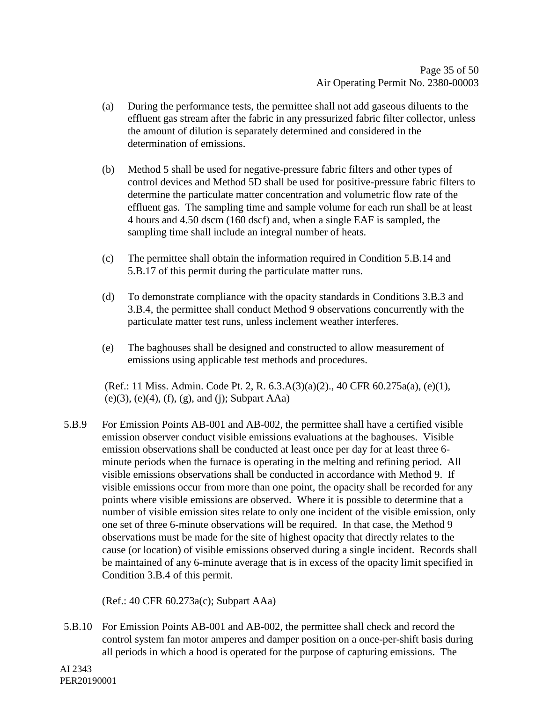- (a) During the performance tests, the permittee shall not add gaseous diluents to the effluent gas stream after the fabric in any pressurized fabric filter collector, unless the amount of dilution is separately determined and considered in the determination of emissions.
- (b) Method 5 shall be used for negative-pressure fabric filters and other types of control devices and Method 5D shall be used for positive-pressure fabric filters to determine the particulate matter concentration and volumetric flow rate of the effluent gas. The sampling time and sample volume for each run shall be at least 4 hours and 4.50 dscm (160 dscf) and, when a single EAF is sampled, the sampling time shall include an integral number of heats.
- (c) The permittee shall obtain the information required in Condition 5.B.14 and 5.B.17 of this permit during the particulate matter runs.
- (d) To demonstrate compliance with the opacity standards in Conditions 3.B.3 and 3.B.4, the permittee shall conduct Method 9 observations concurrently with the particulate matter test runs, unless inclement weather interferes.
- (e) The baghouses shall be designed and constructed to allow measurement of emissions using applicable test methods and procedures.

(Ref.: 11 Miss. Admin. Code Pt. 2, R. 6.3.A(3)(a)(2)., 40 CFR 60.275a(a), (e)(1),  $(e)(3)$ ,  $(e)(4)$ ,  $(f)$ ,  $(g)$ , and  $(j)$ ; Subpart AAa)

5.B.9 For Emission Points AB-001 and AB-002, the permittee shall have a certified visible emission observer conduct visible emissions evaluations at the baghouses. Visible emission observations shall be conducted at least once per day for at least three 6 minute periods when the furnace is operating in the melting and refining period. All visible emissions observations shall be conducted in accordance with Method 9. If visible emissions occur from more than one point, the opacity shall be recorded for any points where visible emissions are observed. Where it is possible to determine that a number of visible emission sites relate to only one incident of the visible emission, only one set of three 6-minute observations will be required. In that case, the Method 9 observations must be made for the site of highest opacity that directly relates to the cause (or location) of visible emissions observed during a single incident. Records shall be maintained of any 6-minute average that is in excess of the opacity limit specified in Condition 3.B.4 of this permit.

(Ref.: 40 CFR 60.273a(c); Subpart AAa)

5.B.10 For Emission Points AB-001 and AB-002, the permittee shall check and record the control system fan motor amperes and damper position on a once-per-shift basis during all periods in which a hood is operated for the purpose of capturing emissions. The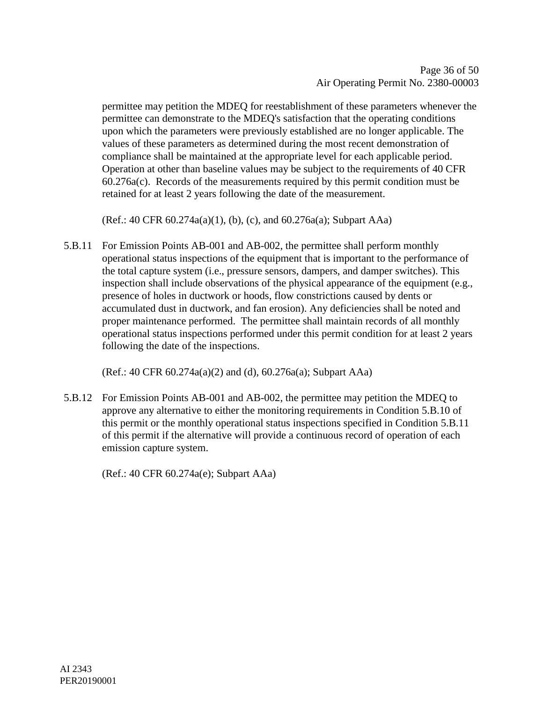permittee may petition the MDEQ for reestablishment of these parameters whenever the permittee can demonstrate to the MDEQ's satisfaction that the operating conditions upon which the parameters were previously established are no longer applicable. The values of these parameters as determined during the most recent demonstration of compliance shall be maintained at the appropriate level for each applicable period. Operation at other than baseline values may be subject to the requirements of 40 CFR 60.276a(c). Records of the measurements required by this permit condition must be retained for at least 2 years following the date of the measurement.

(Ref.: 40 CFR 60.274a(a)(1), (b), (c), and 60.276a(a); Subpart AAa)

5.B.11 For Emission Points AB-001 and AB-002, the permittee shall perform monthly operational status inspections of the equipment that is important to the performance of the total capture system (i.e., pressure sensors, dampers, and damper switches). This inspection shall include observations of the physical appearance of the equipment (e.g., presence of holes in ductwork or hoods, flow constrictions caused by dents or accumulated dust in ductwork, and fan erosion). Any deficiencies shall be noted and proper maintenance performed. The permittee shall maintain records of all monthly operational status inspections performed under this permit condition for at least 2 years following the date of the inspections.

(Ref.: 40 CFR 60.274a(a)(2) and (d), 60.276a(a); Subpart AAa)

5.B.12 For Emission Points AB-001 and AB-002, the permittee may petition the MDEQ to approve any alternative to either the monitoring requirements in Condition 5.B.10 of this permit or the monthly operational status inspections specified in Condition 5.B.11 of this permit if the alternative will provide a continuous record of operation of each emission capture system.

(Ref.: 40 CFR 60.274a(e); Subpart AAa)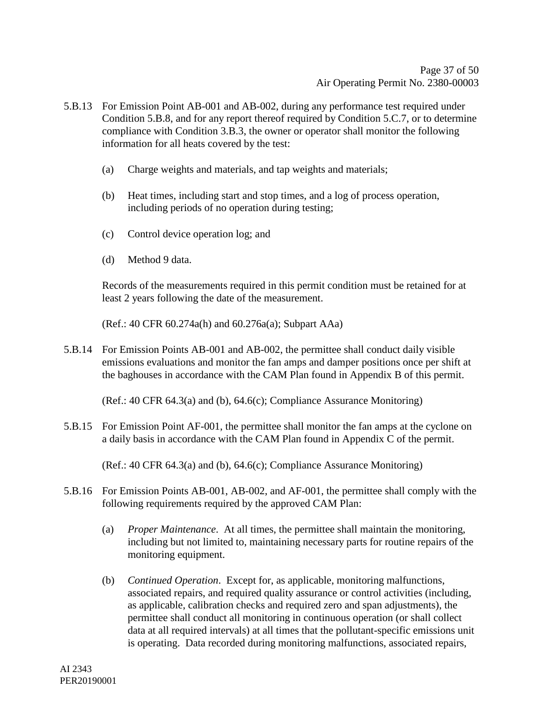- 5.B.13 For Emission Point AB-001 and AB-002, during any performance test required under Condition 5.B.8, and for any report thereof required by Condition 5.C.7, or to determine compliance with Condition 3.B.3, the owner or operator shall monitor the following information for all heats covered by the test:
	- (a) Charge weights and materials, and tap weights and materials;
	- (b) Heat times, including start and stop times, and a log of process operation, including periods of no operation during testing;
	- (c) Control device operation log; and
	- (d) Method 9 data.

Records of the measurements required in this permit condition must be retained for at least 2 years following the date of the measurement.

(Ref.: 40 CFR 60.274a(h) and 60.276a(a); Subpart AAa)

5.B.14 For Emission Points AB-001 and AB-002, the permittee shall conduct daily visible emissions evaluations and monitor the fan amps and damper positions once per shift at the baghouses in accordance with the CAM Plan found in Appendix B of this permit.

(Ref.: 40 CFR 64.3(a) and (b), 64.6(c); Compliance Assurance Monitoring)

5.B.15 For Emission Point AF-001, the permittee shall monitor the fan amps at the cyclone on a daily basis in accordance with the CAM Plan found in Appendix C of the permit.

(Ref.: 40 CFR 64.3(a) and (b), 64.6(c); Compliance Assurance Monitoring)

- 5.B.16 For Emission Points AB-001, AB-002, and AF-001, the permittee shall comply with the following requirements required by the approved CAM Plan:
	- (a) *Proper Maintenance*. At all times, the permittee shall maintain the monitoring, including but not limited to, maintaining necessary parts for routine repairs of the monitoring equipment.
	- (b) *Continued Operation*. Except for, as applicable, monitoring malfunctions, associated repairs, and required quality assurance or control activities (including, as applicable, calibration checks and required zero and span adjustments), the permittee shall conduct all monitoring in continuous operation (or shall collect data at all required intervals) at all times that the pollutant-specific emissions unit is operating. Data recorded during monitoring malfunctions, associated repairs,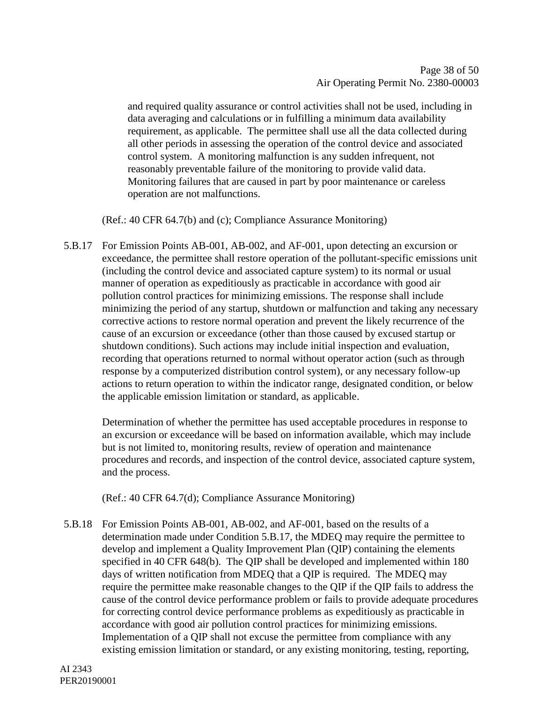and required quality assurance or control activities shall not be used, including in data averaging and calculations or in fulfilling a minimum data availability requirement, as applicable. The permittee shall use all the data collected during all other periods in assessing the operation of the control device and associated control system. A monitoring malfunction is any sudden infrequent, not reasonably preventable failure of the monitoring to provide valid data. Monitoring failures that are caused in part by poor maintenance or careless operation are not malfunctions.

(Ref.: 40 CFR 64.7(b) and (c); Compliance Assurance Monitoring)

5.B.17 For Emission Points AB-001, AB-002, and AF-001, upon detecting an excursion or exceedance, the permittee shall restore operation of the pollutant-specific emissions unit (including the control device and associated capture system) to its normal or usual manner of operation as expeditiously as practicable in accordance with good air pollution control practices for minimizing emissions. The response shall include minimizing the period of any startup, shutdown or malfunction and taking any necessary corrective actions to restore normal operation and prevent the likely recurrence of the cause of an excursion or exceedance (other than those caused by excused startup or shutdown conditions). Such actions may include initial inspection and evaluation, recording that operations returned to normal without operator action (such as through response by a computerized distribution control system), or any necessary follow-up actions to return operation to within the indicator range, designated condition, or below the applicable emission limitation or standard, as applicable.

Determination of whether the permittee has used acceptable procedures in response to an excursion or exceedance will be based on information available, which may include but is not limited to, monitoring results, review of operation and maintenance procedures and records, and inspection of the control device, associated capture system, and the process.

(Ref.: 40 CFR 64.7(d); Compliance Assurance Monitoring)

5.B.18 For Emission Points AB-001, AB-002, and AF-001, based on the results of a determination made under Condition 5.B.17, the MDEQ may require the permittee to develop and implement a Quality Improvement Plan (QIP) containing the elements specified in 40 CFR 648(b). The QIP shall be developed and implemented within 180 days of written notification from MDEQ that a QIP is required. The MDEQ may require the permittee make reasonable changes to the QIP if the QIP fails to address the cause of the control device performance problem or fails to provide adequate procedures for correcting control device performance problems as expeditiously as practicable in accordance with good air pollution control practices for minimizing emissions. Implementation of a QIP shall not excuse the permittee from compliance with any existing emission limitation or standard, or any existing monitoring, testing, reporting,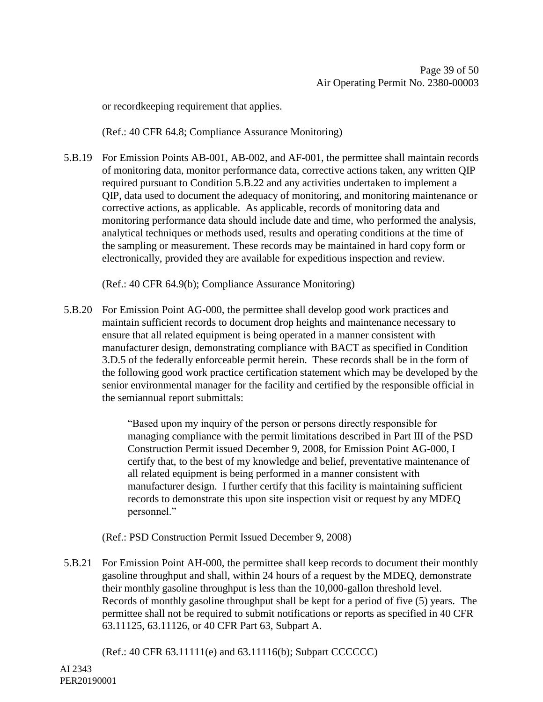or recordkeeping requirement that applies.

(Ref.: 40 CFR 64.8; Compliance Assurance Monitoring)

5.B.19 For Emission Points AB-001, AB-002, and AF-001, the permittee shall maintain records of monitoring data, monitor performance data, corrective actions taken, any written QIP required pursuant to Condition 5.B.22 and any activities undertaken to implement a QIP, data used to document the adequacy of monitoring, and monitoring maintenance or corrective actions, as applicable. As applicable, records of monitoring data and monitoring performance data should include date and time, who performed the analysis, analytical techniques or methods used, results and operating conditions at the time of the sampling or measurement. These records may be maintained in hard copy form or electronically, provided they are available for expeditious inspection and review.

(Ref.: 40 CFR 64.9(b); Compliance Assurance Monitoring)

5.B.20 For Emission Point AG-000, the permittee shall develop good work practices and maintain sufficient records to document drop heights and maintenance necessary to ensure that all related equipment is being operated in a manner consistent with manufacturer design, demonstrating compliance with BACT as specified in Condition 3.D.5 of the federally enforceable permit herein. These records shall be in the form of the following good work practice certification statement which may be developed by the senior environmental manager for the facility and certified by the responsible official in the semiannual report submittals:

> "Based upon my inquiry of the person or persons directly responsible for managing compliance with the permit limitations described in Part III of the PSD Construction Permit issued December 9, 2008, for Emission Point AG-000, I certify that, to the best of my knowledge and belief, preventative maintenance of all related equipment is being performed in a manner consistent with manufacturer design. I further certify that this facility is maintaining sufficient records to demonstrate this upon site inspection visit or request by any MDEQ personnel."

(Ref.: PSD Construction Permit Issued December 9, 2008)

5.B.21 For Emission Point AH-000, the permittee shall keep records to document their monthly gasoline throughput and shall, within 24 hours of a request by the MDEQ, demonstrate their monthly gasoline throughput is less than the 10,000-gallon threshold level. Records of monthly gasoline throughput shall be kept for a period of five (5) years. The permittee shall not be required to submit notifications or reports as specified in 40 CFR 63.11125, 63.11126, or 40 CFR Part 63, Subpart A.

(Ref.: 40 CFR 63.11111(e) and 63.11116(b); Subpart CCCCCC)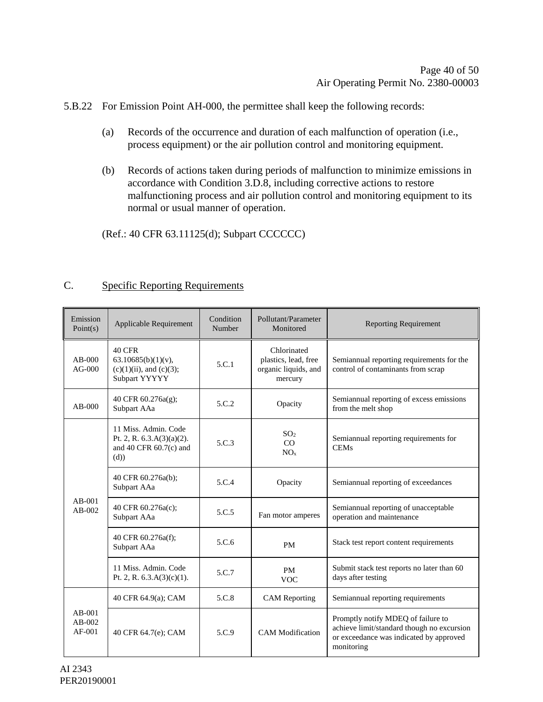5.B.22 For Emission Point AH-000, the permittee shall keep the following records:

- (a) Records of the occurrence and duration of each malfunction of operation (i.e., process equipment) or the air pollution control and monitoring equipment.
- (b) Records of actions taken during periods of malfunction to minimize emissions in accordance with Condition 3.D.8, including corrective actions to restore malfunctioning process and air pollution control and monitoring equipment to its normal or usual manner of operation.

(Ref.: 40 CFR 63.11125(d); Subpart CCCCCC)

#### C. Specific Reporting Requirements

| Emission<br>Point(s)             | Applicable Requirement                                                                   | Condition<br>Number | Pollutant/Parameter<br>Monitored                                       | <b>Reporting Requirement</b>                                                                                                              |
|----------------------------------|------------------------------------------------------------------------------------------|---------------------|------------------------------------------------------------------------|-------------------------------------------------------------------------------------------------------------------------------------------|
| $AB-000$<br>$AG-000$             | <b>40 CFR</b><br>$63.10685(b)(1)(v)$ ,<br>$(c)(1)(ii)$ , and $(c)(3)$ ;<br>Subpart YYYYY | 5.C.1               | Chlorinated<br>plastics, lead, free<br>organic liquids, and<br>mercury | Semiannual reporting requirements for the<br>control of contaminants from scrap                                                           |
| $AB-000$                         | 40 CFR 60.276a(g);<br>Subpart AAa                                                        | 5.C.2               | Opacity                                                                | Semiannual reporting of excess emissions<br>from the melt shop                                                                            |
| $AB-001$<br>$AB-002$             | 11 Miss. Admin. Code<br>Pt. 2, R. $6.3.A(3)(a)(2)$ .<br>and 40 CFR $60.7(c)$ and<br>(d)) | 5.C.3               | SO <sub>2</sub><br>CO<br>NO <sub>x</sub>                               | Semiannual reporting requirements for<br><b>CEMs</b>                                                                                      |
|                                  | 40 CFR 60.276a(b);<br>Subpart AAa                                                        | 5.C.4               | Opacity                                                                | Semiannual reporting of exceedances                                                                                                       |
|                                  | 40 CFR 60.276a(c);<br>Subpart AAa                                                        | 5.C.5               | Fan motor amperes                                                      | Semiannual reporting of unacceptable<br>operation and maintenance                                                                         |
|                                  | 40 CFR 60.276a(f);<br>Subpart AAa                                                        | 5.C.6               | <b>PM</b>                                                              | Stack test report content requirements                                                                                                    |
|                                  | 11 Miss. Admin. Code<br>Pt. 2, R. $6.3.A(3)(c)(1)$ .                                     | 5.C.7               | <b>PM</b><br><b>VOC</b>                                                | Submit stack test reports no later than 60<br>days after testing                                                                          |
| $AB-001$<br>$AB-002$<br>$AF-001$ | 40 CFR 64.9(a); CAM                                                                      | 5.C.8               | <b>CAM</b> Reporting                                                   | Semiannual reporting requirements                                                                                                         |
|                                  | 40 CFR 64.7(e); CAM                                                                      | 5.C.9               | <b>CAM</b> Modification                                                | Promptly notify MDEQ of failure to<br>achieve limit/standard though no excursion<br>or exceedance was indicated by approved<br>monitoring |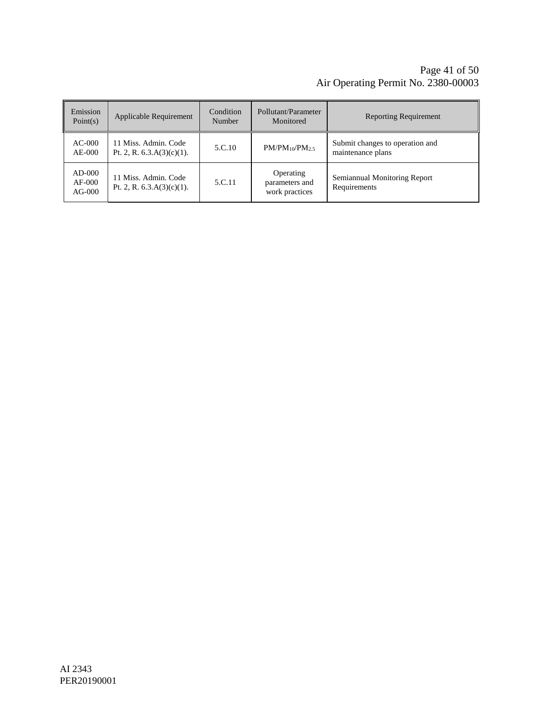#### Page 41 of [50](#page-49-0) Air Operating Permit No. 2380-00003

| Emission<br>Point(s)             | Applicable Requirement                               | Condition<br>Number | Pollutant/Parameter<br>Monitored              | <b>Reporting Requirement</b>                         |
|----------------------------------|------------------------------------------------------|---------------------|-----------------------------------------------|------------------------------------------------------|
| $AC-000$<br>$AE-000$             | 11 Miss. Admin. Code<br>Pt. 2, R. $6.3.A(3)(c)(1)$ . | 5.C.10              | $PM/PM_{10}/PM_{2.5}$                         | Submit changes to operation and<br>maintenance plans |
| $AD-000$<br>$AF-000$<br>$AG-000$ | 11 Miss. Admin. Code<br>Pt. 2, R. $6.3.A(3)(c)(1)$ . | 5.C.11              | Operating<br>parameters and<br>work practices | Semiannual Monitoring Report<br>Requirements         |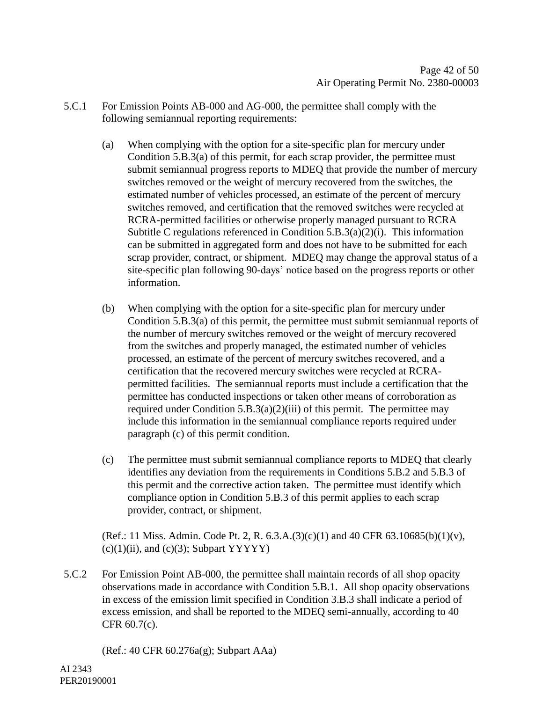- 5.C.1 For Emission Points AB-000 and AG-000, the permittee shall comply with the following semiannual reporting requirements:
	- (a) When complying with the option for a site-specific plan for mercury under Condition 5.B.3(a) of this permit, for each scrap provider, the permittee must submit semiannual progress reports to MDEQ that provide the number of mercury switches removed or the weight of mercury recovered from the switches, the estimated number of vehicles processed, an estimate of the percent of mercury switches removed, and certification that the removed switches were recycled at RCRA-permitted facilities or otherwise properly managed pursuant to RCRA Subtitle C regulations referenced in Condition  $5.B.3(a)(2)(i)$ . This information can be submitted in aggregated form and does not have to be submitted for each scrap provider, contract, or shipment. MDEQ may change the approval status of a site-specific plan following 90-days' notice based on the progress reports or other information.
	- (b) When complying with the option for a site-specific plan for mercury under Condition 5.B.3(a) of this permit, the permittee must submit semiannual reports of the number of mercury switches removed or the weight of mercury recovered from the switches and properly managed, the estimated number of vehicles processed, an estimate of the percent of mercury switches recovered, and a certification that the recovered mercury switches were recycled at RCRApermitted facilities. The semiannual reports must include a certification that the permittee has conducted inspections or taken other means of corroboration as required under Condition  $5.B.3(a)(2)(iii)$  of this permit. The permittee may include this information in the semiannual compliance reports required under paragraph (c) of this permit condition.
	- (c) The permittee must submit semiannual compliance reports to MDEQ that clearly identifies any deviation from the requirements in Conditions 5.B.2 and 5.B.3 of this permit and the corrective action taken. The permittee must identify which compliance option in Condition 5.B.3 of this permit applies to each scrap provider, contract, or shipment.

(Ref.: 11 Miss. Admin. Code Pt. 2, R. 6.3.A.(3)(c)(1) and 40 CFR 63.10685(b)(1)(v),  $(c)(1)(ii)$ , and  $(c)(3)$ ; Subpart YYYYY)

5.C.2 For Emission Point AB-000, the permittee shall maintain records of all shop opacity observations made in accordance with Condition 5.B.1. All shop opacity observations in excess of the emission limit specified in Condition 3.B.3 shall indicate a period of excess emission, and shall be reported to the MDEQ semi-annually, according to 40 CFR 60.7(c).

(Ref.: 40 CFR 60.276a(g); Subpart AAa)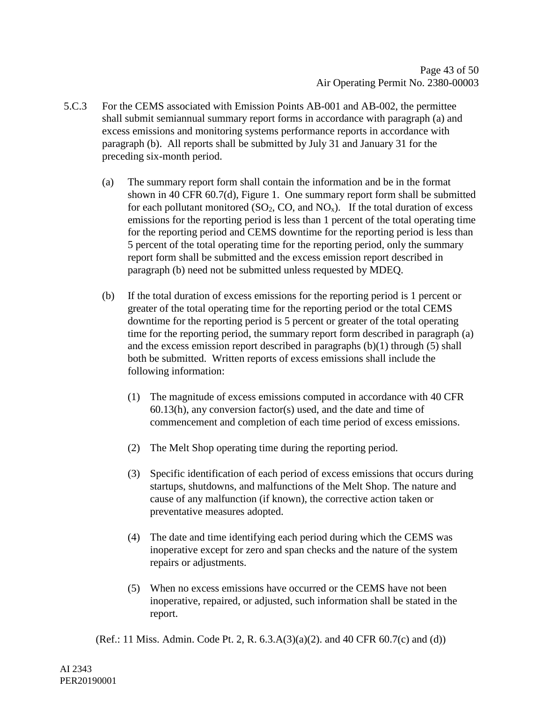- 5.C.3 For the CEMS associated with Emission Points AB-001 and AB-002, the permittee shall submit semiannual summary report forms in accordance with paragraph (a) and excess emissions and monitoring systems performance reports in accordance with paragraph (b). All reports shall be submitted by July 31 and January 31 for the preceding six-month period.
	- (a) The summary report form shall contain the information and be in the format shown in 40 CFR 60.7(d), Figure 1. One summary report form shall be submitted for each pollutant monitored  $(SO_2, CO, and NO_x)$ . If the total duration of excess emissions for the reporting period is less than 1 percent of the total operating time for the reporting period and CEMS downtime for the reporting period is less than 5 percent of the total operating time for the reporting period, only the summary report form shall be submitted and the excess emission report described in paragraph (b) need not be submitted unless requested by MDEQ.
	- (b) If the total duration of excess emissions for the reporting period is 1 percent or greater of the total operating time for the reporting period or the total CEMS downtime for the reporting period is 5 percent or greater of the total operating time for the reporting period, the summary report form described in paragraph (a) and the excess emission report described in paragraphs (b)(1) through (5) shall both be submitted. Written reports of excess emissions shall include the following information:
		- (1) The magnitude of excess emissions computed in accordance with 40 CFR 60.13(h), any conversion factor(s) used, and the date and time of commencement and completion of each time period of excess emissions.
		- (2) The Melt Shop operating time during the reporting period.
		- (3) Specific identification of each period of excess emissions that occurs during startups, shutdowns, and malfunctions of the Melt Shop. The nature and cause of any malfunction (if known), the corrective action taken or preventative measures adopted.
		- (4) The date and time identifying each period during which the CEMS was inoperative except for zero and span checks and the nature of the system repairs or adjustments.
		- (5) When no excess emissions have occurred or the CEMS have not been inoperative, repaired, or adjusted, such information shall be stated in the report.

(Ref.: 11 Miss. Admin. Code Pt. 2, R.  $(6.3.A(3)(a)(2))$ . and 40 CFR  $(60.7(c)$  and (d))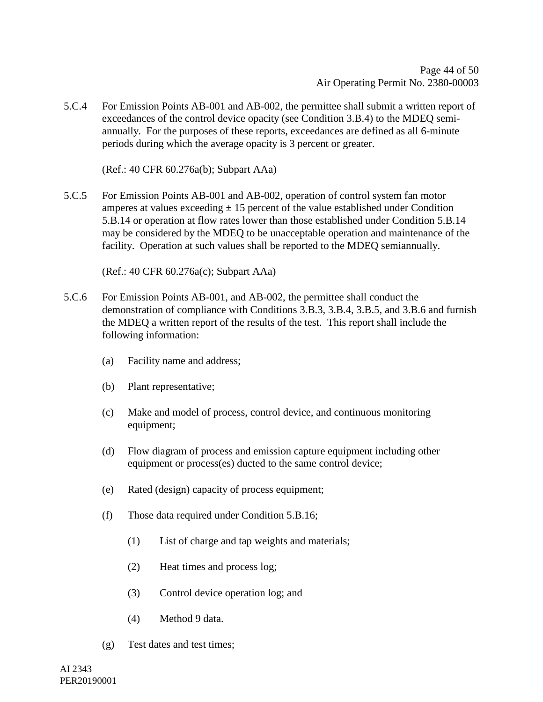5.C.4 For Emission Points AB-001 and AB-002, the permittee shall submit a written report of exceedances of the control device opacity (see Condition 3.B.4) to the MDEQ semiannually. For the purposes of these reports, exceedances are defined as all 6-minute periods during which the average opacity is 3 percent or greater.

(Ref.: 40 CFR 60.276a(b); Subpart AAa)

5.C.5 For Emission Points AB-001 and AB-002, operation of control system fan motor amperes at values exceeding  $\pm$  15 percent of the value established under Condition 5.B.14 or operation at flow rates lower than those established under Condition 5.B.14 may be considered by the MDEQ to be unacceptable operation and maintenance of the facility. Operation at such values shall be reported to the MDEQ semiannually.

(Ref.: 40 CFR 60.276a(c); Subpart AAa)

- 5.C.6 For Emission Points AB-001, and AB-002, the permittee shall conduct the demonstration of compliance with Conditions 3.B.3, 3.B.4, 3.B.5, and 3.B.6 and furnish the MDEQ a written report of the results of the test. This report shall include the following information:
	- (a) Facility name and address;
	- (b) Plant representative;
	- (c) Make and model of process, control device, and continuous monitoring equipment;
	- (d) Flow diagram of process and emission capture equipment including other equipment or process(es) ducted to the same control device;
	- (e) Rated (design) capacity of process equipment;
	- (f) Those data required under Condition 5.B.16;
		- (1) List of charge and tap weights and materials;
		- (2) Heat times and process log;
		- (3) Control device operation log; and
		- (4) Method 9 data.
	- (g) Test dates and test times;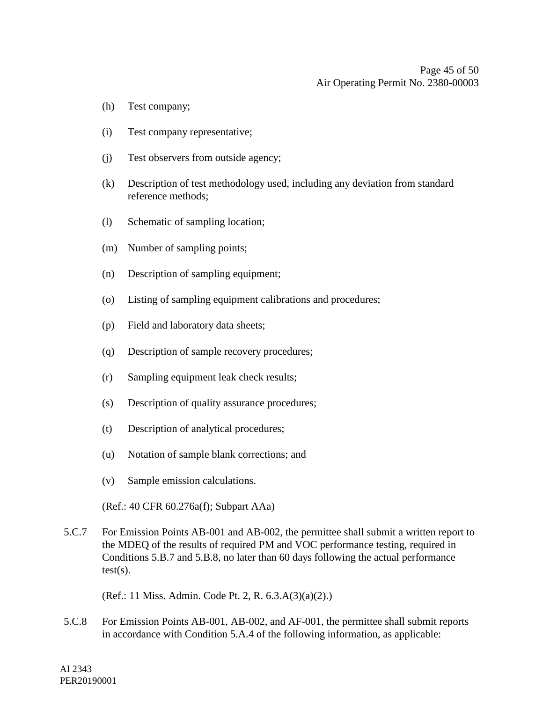- (h) Test company;
- (i) Test company representative;
- (j) Test observers from outside agency;
- (k) Description of test methodology used, including any deviation from standard reference methods;
- (l) Schematic of sampling location;
- (m) Number of sampling points;
- (n) Description of sampling equipment;
- (o) Listing of sampling equipment calibrations and procedures;
- (p) Field and laboratory data sheets;
- (q) Description of sample recovery procedures;
- (r) Sampling equipment leak check results;
- (s) Description of quality assurance procedures;
- (t) Description of analytical procedures;
- (u) Notation of sample blank corrections; and
- (v) Sample emission calculations.

(Ref.: 40 CFR 60.276a(f); Subpart AAa)

5.C.7 For Emission Points AB-001 and AB-002, the permittee shall submit a written report to the MDEQ of the results of required PM and VOC performance testing, required in Conditions 5.B.7 and 5.B.8, no later than 60 days following the actual performance  $test(s)$ .

(Ref.: 11 Miss. Admin. Code Pt. 2, R. 6.3.A(3)(a)(2).)

5.C.8 For Emission Points AB-001, AB-002, and AF-001, the permittee shall submit reports in accordance with Condition 5.A.4 of the following information, as applicable: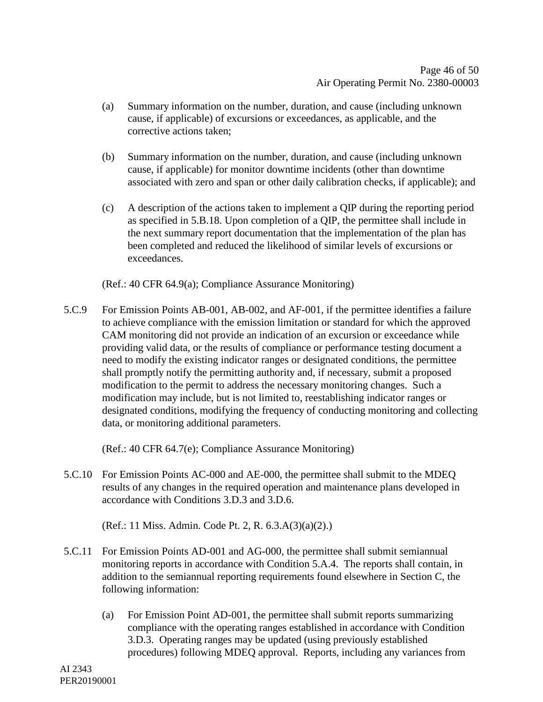- (a) Summary information on the number, duration, and cause (including unknown cause, if applicable) of excursions or exceedances, as applicable, and the corrective actions taken;
- (b) Summary information on the number, duration, and cause (including unknown cause, if applicable) for monitor downtime incidents (other than downtime associated with zero and span or other daily calibration checks, if applicable); and
- (c) A description of the actions taken to implement a QIP during the reporting period as specified in 5.B.18. Upon completion of a QIP, the permittee shall include in the next summary report documentation that the implementation of the plan has been completed and reduced the likelihood of similar levels of excursions or exceedances.

(Ref.: 40 CFR 64.9(a); Compliance Assurance Monitoring)

5.C.9 For Emission Points AB-001, AB-002, and AF-001, if the permittee identifies a failure to achieve compliance with the emission limitation or standard for which the approved CAM monitoring did not provide an indication of an excursion or exceedance while providing valid data, or the results of compliance or performance testing document a need to modify the existing indicator ranges or designated conditions, the permittee shall promptly notify the permitting authority and, if necessary, submit a proposed modification to the permit to address the necessary monitoring changes. Such a modification may include, but is not limited to, reestablishing indicator ranges or designated conditions, modifying the frequency of conducting monitoring and collecting data, or monitoring additional parameters.

(Ref.: 40 CFR 64.7(e); Compliance Assurance Monitoring)

5.C.10 For Emission Points AC-000 and AE-000, the permittee shall submit to the MDEQ results of any changes in the required operation and maintenance plans developed in accordance with Conditions 3.D.3 and 3.D.6.

(Ref.: 11 Miss. Admin. Code Pt. 2, R. 6.3.A(3)(a)(2).)

- 5.C.11 For Emission Points AD-001 and AG-000, the permittee shall submit semiannual monitoring reports in accordance with Condition 5.A.4. The reports shall contain, in addition to the semiannual reporting requirements found elsewhere in Section C, the following information:
	- (a) For Emission Point AD-001, the permittee shall submit reports summarizing compliance with the operating ranges established in accordance with Condition 3.D.3. Operating ranges may be updated (using previously established procedures) following MDEQ approval. Reports, including any variances from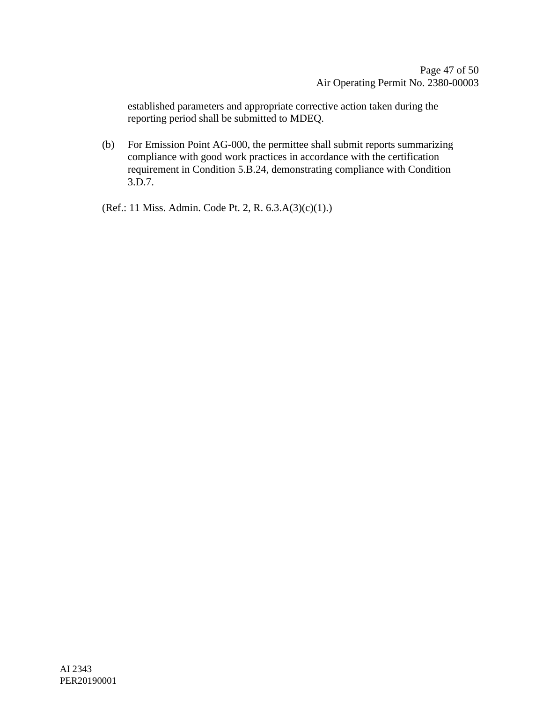established parameters and appropriate corrective action taken during the reporting period shall be submitted to MDEQ.

(b) For Emission Point AG-000, the permittee shall submit reports summarizing compliance with good work practices in accordance with the certification requirement in Condition 5.B.24, demonstrating compliance with Condition 3.D.7.

(Ref.: 11 Miss. Admin. Code Pt. 2, R. 6.3.A(3)(c)(1).)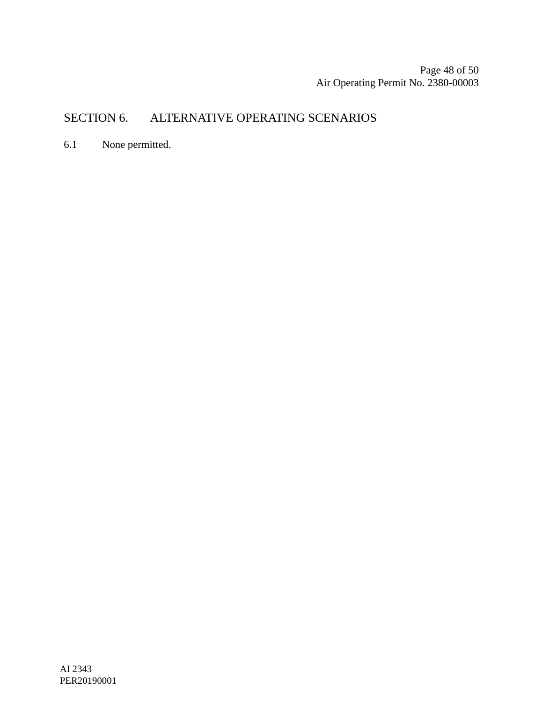Page 48 of [50](#page-49-0) Air Operating Permit No. 2380-00003

## SECTION 6. ALTERNATIVE OPERATING SCENARIOS

6.1 None permitted.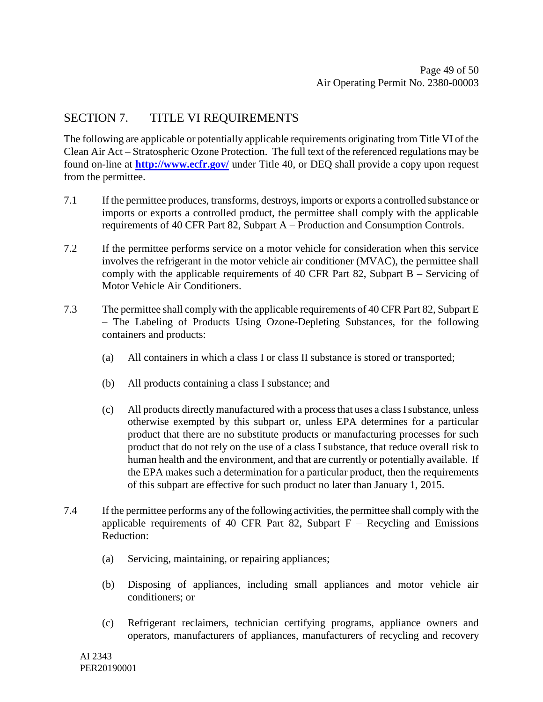### SECTION 7. TITLE VI REQUIREMENTS

The following are applicable or potentially applicable requirements originating from Title VI of the Clean Air Act – Stratospheric Ozone Protection. The full text of the referenced regulations may be found on-line at **<http://www.ecfr.gov/>** under Title 40, or DEQ shall provide a copy upon request from the permittee.

- 7.1 If the permittee produces, transforms, destroys, imports or exports a controlled substance or imports or exports a controlled product, the permittee shall comply with the applicable requirements of 40 CFR Part 82, Subpart A – Production and Consumption Controls.
- 7.2 If the permittee performs service on a motor vehicle for consideration when this service involves the refrigerant in the motor vehicle air conditioner (MVAC), the permittee shall comply with the applicable requirements of 40 CFR Part 82, Subpart B – Servicing of Motor Vehicle Air Conditioners.
- 7.3 The permittee shall comply with the applicable requirements of 40 CFR Part 82, Subpart E – The Labeling of Products Using Ozone-Depleting Substances, for the following containers and products:
	- (a) All containers in which a class I or class II substance is stored or transported;
	- (b) All products containing a class I substance; and
	- (c) All products directly manufactured with a process that uses a class I substance, unless otherwise exempted by this subpart or, unless EPA determines for a particular product that there are no substitute products or manufacturing processes for such product that do not rely on the use of a class I substance, that reduce overall risk to human health and the environment, and that are currently or potentially available. If the EPA makes such a determination for a particular product, then the requirements of this subpart are effective for such product no later than January 1, 2015.
- 7.4 If the permittee performs any of the following activities, the permittee shall comply with the applicable requirements of 40 CFR Part 82, Subpart  $F -$  Recycling and Emissions Reduction:
	- (a) Servicing, maintaining, or repairing appliances;
	- (b) Disposing of appliances, including small appliances and motor vehicle air conditioners; or
	- (c) Refrigerant reclaimers, technician certifying programs, appliance owners and operators, manufacturers of appliances, manufacturers of recycling and recovery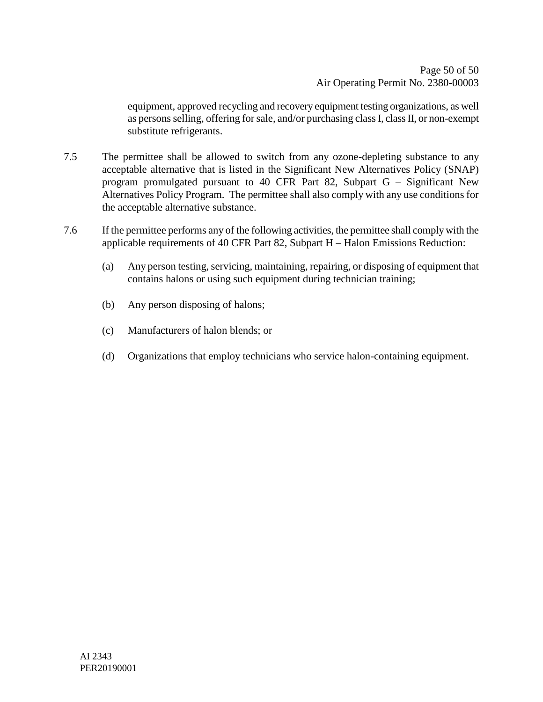equipment, approved recycling and recovery equipment testing organizations, as well as persons selling, offering for sale, and/or purchasing class I, class II, or non-exempt substitute refrigerants.

- 7.5 The permittee shall be allowed to switch from any ozone-depleting substance to any acceptable alternative that is listed in the Significant New Alternatives Policy (SNAP) program promulgated pursuant to 40 CFR Part 82, Subpart G – Significant New Alternatives Policy Program. The permittee shall also comply with any use conditions for the acceptable alternative substance.
- <span id="page-49-0"></span>7.6 If the permittee performs any of the following activities, the permittee shall comply with the applicable requirements of 40 CFR Part 82, Subpart H – Halon Emissions Reduction:
	- (a) Any person testing, servicing, maintaining, repairing, or disposing of equipment that contains halons or using such equipment during technician training;
	- (b) Any person disposing of halons;
	- (c) Manufacturers of halon blends; or
	- (d) Organizations that employ technicians who service halon-containing equipment.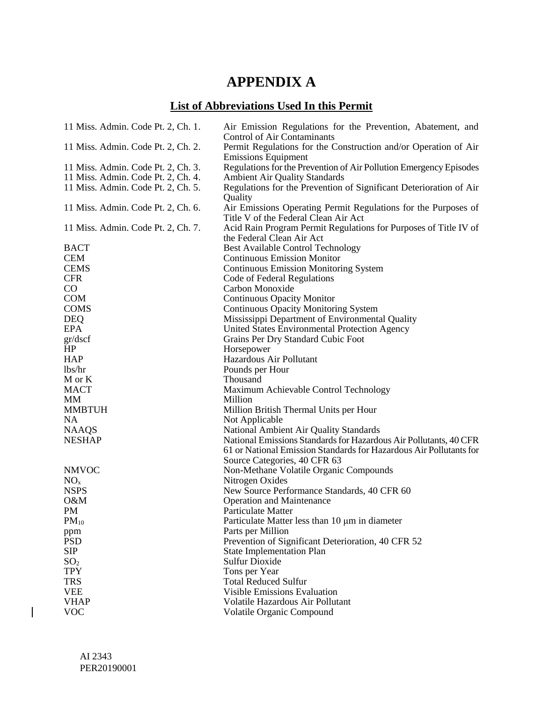## **APPENDIX A**

## **List of Abbreviations Used In this Permit**

| 11 Miss. Admin. Code Pt. 2, Ch. 1. | Air Emission Regulations for the Prevention, Abatement, and<br>Control of Air Contaminants             |
|------------------------------------|--------------------------------------------------------------------------------------------------------|
| 11 Miss. Admin. Code Pt. 2, Ch. 2. | Permit Regulations for the Construction and/or Operation of Air                                        |
|                                    | <b>Emissions Equipment</b>                                                                             |
| 11 Miss. Admin. Code Pt. 2, Ch. 3. | Regulations for the Prevention of Air Pollution Emergency Episodes                                     |
| 11 Miss. Admin. Code Pt. 2, Ch. 4. | <b>Ambient Air Quality Standards</b>                                                                   |
| 11 Miss. Admin. Code Pt. 2, Ch. 5. | Regulations for the Prevention of Significant Deterioration of Air<br>Quality                          |
| 11 Miss. Admin. Code Pt. 2, Ch. 6. | Air Emissions Operating Permit Regulations for the Purposes of<br>Title V of the Federal Clean Air Act |
| 11 Miss. Admin. Code Pt. 2, Ch. 7. | Acid Rain Program Permit Regulations for Purposes of Title IV of<br>the Federal Clean Air Act          |
| <b>BACT</b>                        | <b>Best Available Control Technology</b>                                                               |
| <b>CEM</b>                         | <b>Continuous Emission Monitor</b>                                                                     |
| <b>CEMS</b>                        | <b>Continuous Emission Monitoring System</b>                                                           |
| <b>CFR</b>                         | Code of Federal Regulations                                                                            |
| $\rm CO$                           | Carbon Monoxide                                                                                        |
| <b>COM</b>                         | <b>Continuous Opacity Monitor</b>                                                                      |
| <b>COMS</b>                        | <b>Continuous Opacity Monitoring System</b>                                                            |
| <b>DEQ</b>                         | Mississippi Department of Environmental Quality                                                        |
| <b>EPA</b>                         | United States Environmental Protection Agency                                                          |
| gr/dscf                            | Grains Per Dry Standard Cubic Foot                                                                     |
| HP                                 | Horsepower                                                                                             |
| <b>HAP</b>                         | Hazardous Air Pollutant                                                                                |
| lbs/hr                             | Pounds per Hour                                                                                        |
| M or K                             | Thousand                                                                                               |
| <b>MACT</b>                        | Maximum Achievable Control Technology                                                                  |
| MМ                                 | Million                                                                                                |
| <b>MMBTUH</b>                      | Million British Thermal Units per Hour                                                                 |
| <b>NA</b>                          | Not Applicable                                                                                         |
| <b>NAAQS</b>                       | National Ambient Air Quality Standards                                                                 |
| <b>NESHAP</b>                      | National Emissions Standards for Hazardous Air Pollutants, 40 CFR                                      |
|                                    | 61 or National Emission Standards for Hazardous Air Pollutants for                                     |
|                                    | Source Categories, 40 CFR 63                                                                           |
| <b>NMVOC</b>                       | Non-Methane Volatile Organic Compounds                                                                 |
| NO <sub>x</sub>                    | Nitrogen Oxides                                                                                        |
| <b>NSPS</b>                        | New Source Performance Standards, 40 CFR 60                                                            |
| O&M                                | <b>Operation and Maintenance</b>                                                                       |
| PM                                 | Particulate Matter                                                                                     |
| $PM_{10}$                          | Particulate Matter less than 10 µm in diameter                                                         |
| ppm                                | Parts per Million                                                                                      |
| <b>PSD</b>                         | Prevention of Significant Deterioration, 40 CFR 52                                                     |
| SIP                                | <b>State Implementation Plan</b>                                                                       |
| SO <sub>2</sub>                    | <b>Sulfur Dioxide</b>                                                                                  |
| <b>TPY</b>                         | Tons per Year                                                                                          |
| <b>TRS</b>                         | <b>Total Reduced Sulfur</b>                                                                            |
| <b>VEE</b>                         | <b>Visible Emissions Evaluation</b>                                                                    |
| <b>VHAP</b>                        | Volatile Hazardous Air Pollutant                                                                       |
| <b>VOC</b>                         | Volatile Organic Compound                                                                              |

 $\overline{\phantom{a}}$